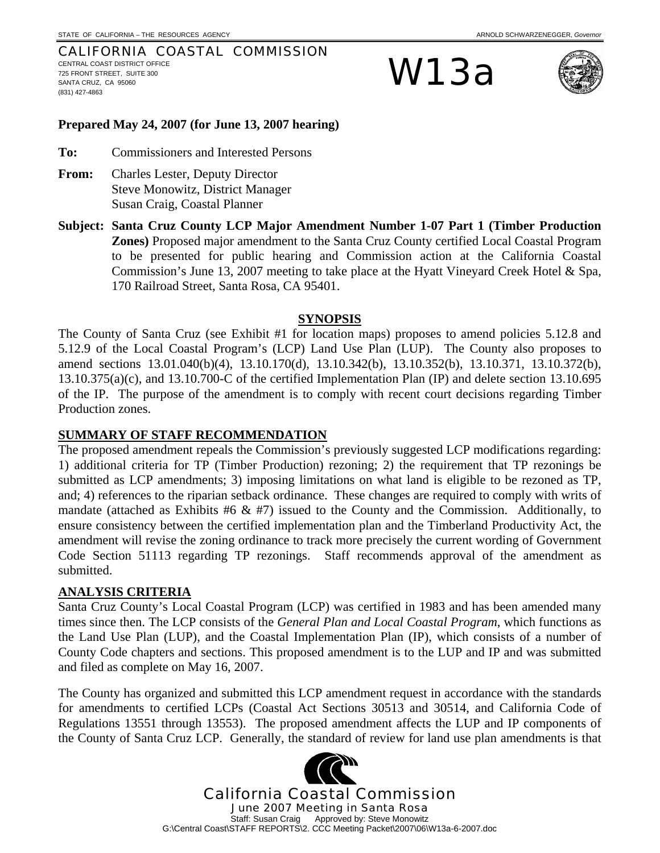### CALIFORNIA COASTAL COMMISSION CENTRAL COAST DISTRICT OFFICE 725 FRONT STREET, SUITE 300 SANTA CRUZ, CA 95060 (831) 427-4863

W13a



### **Prepared May 24, 2007 (for June 13, 2007 hearing)**

**To:** Commissioners and Interested Persons

- **From:** Charles Lester, Deputy Director Steve Monowitz, District Manager Susan Craig, Coastal Planner
- **Subject: Santa Cruz County LCP Major Amendment Number 1-07 Part 1 (Timber Production Zones)** Proposed major amendment to the Santa Cruz County certified Local Coastal Program to be presented for public hearing and Commission action at the California Coastal Commission's June 13, 2007 meeting to take place at the Hyatt Vineyard Creek Hotel & Spa, 170 Railroad Street, Santa Rosa, CA 95401.

### **SYNOPSIS**

The County of Santa Cruz (see Exhibit #1 for location maps) proposes to amend policies 5.12.8 and 5.12.9 of the Local Coastal Program's (LCP) Land Use Plan (LUP). The County also proposes to amend sections 13.01.040(b)(4), 13.10.170(d), 13.10.342(b), 13.10.352(b), 13.10.371, 13.10.372(b), 13.10.375(a)(c), and 13.10.700-C of the certified Implementation Plan (IP) and delete section 13.10.695 of the IP. The purpose of the amendment is to comply with recent court decisions regarding Timber Production zones.

### **SUMMARY OF STAFF RECOMMENDATION**

The proposed amendment repeals the Commission's previously suggested LCP modifications regarding: 1) additional criteria for TP (Timber Production) rezoning; 2) the requirement that TP rezonings be submitted as LCP amendments; 3) imposing limitations on what land is eligible to be rezoned as TP, and; 4) references to the riparian setback ordinance. These changes are required to comply with writs of mandate (attached as Exhibits  $#6 \& #7$ ) issued to the County and the Commission. Additionally, to ensure consistency between the certified implementation plan and the Timberland Productivity Act, the amendment will revise the zoning ordinance to track more precisely the current wording of Government Code Section 51113 regarding TP rezonings. Staff recommends approval of the amendment as submitted.

### **ANALYSIS CRITERIA**

Santa Cruz County's Local Coastal Program (LCP) was certified in 1983 and has been amended many times since then. The LCP consists of the *General Plan and Local Coastal Program*, which functions as the Land Use Plan (LUP), and the Coastal Implementation Plan (IP), which consists of a number of County Code chapters and sections. This proposed amendment is to the LUP and IP and was submitted and filed as complete on May 16, 2007.

The County has organized and submitted this LCP amendment request in accordance with the standards for amendments to certified LCPs (Coastal Act Sections 30513 and 30514, and California Code of Regulations 13551 through 13553). The proposed amendment affects the LUP and IP components of the County of Santa Cruz LCP. Generally, the standard of review for land use plan amendments is that

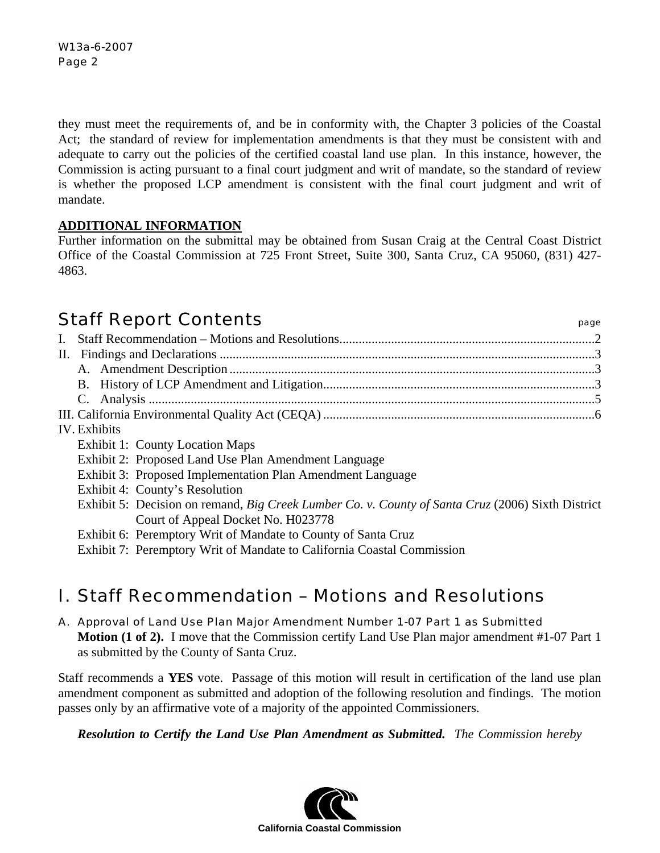they must meet the requirements of, and be in conformity with, the Chapter 3 policies of the Coastal Act; the standard of review for implementation amendments is that they must be consistent with and adequate to carry out the policies of the certified coastal land use plan. In this instance, however, the Commission is acting pursuant to a final court judgment and writ of mandate, so the standard of review is whether the proposed LCP amendment is consistent with the final court judgment and writ of mandate.

## **ADDITIONAL INFORMATION**

Further information on the submittal may be obtained from Susan Craig at the Central Coast District Office of the Coastal Commission at 725 Front Street, Suite 300, Santa Cruz, CA 95060, (831) 427- 4863.

## Staff Report Contents **Staff Report Contents**

| <b>IV.</b> Exhibits                                                                               |  |
|---------------------------------------------------------------------------------------------------|--|
| Exhibit 1: County Location Maps                                                                   |  |
| Exhibit 2: Proposed Land Use Plan Amendment Language                                              |  |
| Exhibit 3: Proposed Implementation Plan Amendment Language                                        |  |
| Exhibit 4: County's Resolution                                                                    |  |
| Exhibit 5: Decision on remand, Big Creek Lumber Co. v. County of Santa Cruz (2006) Sixth District |  |
| Court of Appeal Docket No. H023778                                                                |  |
| $\Gamma$ relative C. Demanutant Wait of Mandata to County of Santa Curry                          |  |

Exhibit 6: Peremptory Writ of Mandate to County of Santa Cruz

Exhibit 7: Peremptory Writ of Mandate to California Coastal Commission

## I. Staff Recommendation – Motions and Resolutions

A. Approval of Land Use Plan Major Amendment Number 1-07 Part 1 as Submitted **Motion (1 of 2).** I move that the Commission certify Land Use Plan major amendment #1-07 Part 1 as submitted by the County of Santa Cruz.

Staff recommends a **YES** vote. Passage of this motion will result in certification of the land use plan amendment component as submitted and adoption of the following resolution and findings. The motion passes only by an affirmative vote of a majority of the appointed Commissioners.

*Resolution to Certify the Land Use Plan Amendment as Submitted. The Commission hereby* 

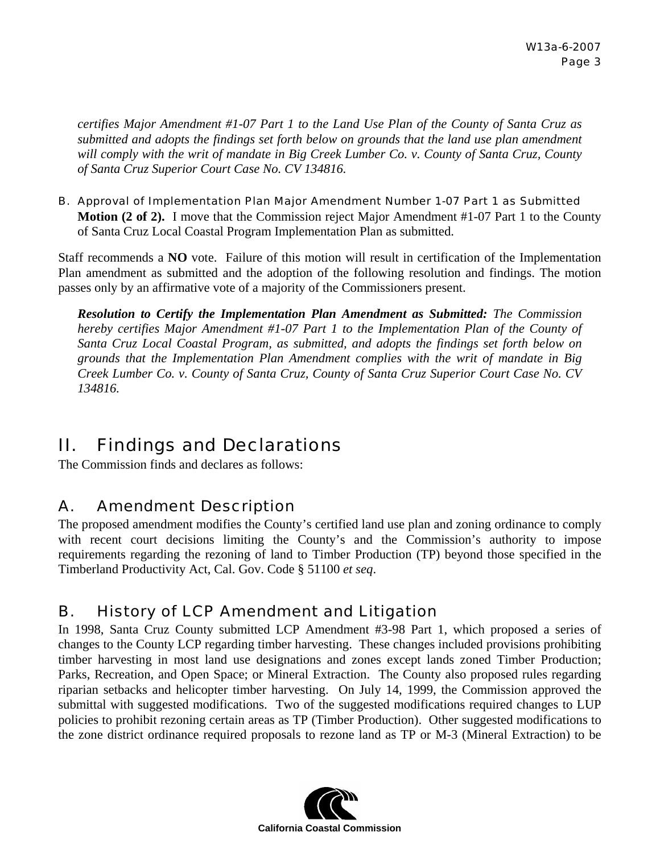*certifies Major Amendment #1-07 Part 1 to the Land Use Plan of the County of Santa Cruz as submitted and adopts the findings set forth below on grounds that the land use plan amendment will comply with the writ of mandate in Big Creek Lumber Co. v. County of Santa Cruz, County of Santa Cruz Superior Court Case No. CV 134816.* 

B. Approval of Implementation Plan Major Amendment Number 1-07 Part 1 as Submitted **Motion (2 of 2).** I move that the Commission reject Major Amendment #1-07 Part 1 to the County of Santa Cruz Local Coastal Program Implementation Plan as submitted.

Staff recommends a **NO** vote. Failure of this motion will result in certification of the Implementation Plan amendment as submitted and the adoption of the following resolution and findings. The motion passes only by an affirmative vote of a majority of the Commissioners present.

*Resolution to Certify the Implementation Plan Amendment as Submitted: The Commission hereby certifies Major Amendment #1-07 Part 1 to the Implementation Plan of the County of Santa Cruz Local Coastal Program, as submitted, and adopts the findings set forth below on grounds that the Implementation Plan Amendment complies with the writ of mandate in Big Creek Lumber Co. v. County of Santa Cruz, County of Santa Cruz Superior Court Case No. CV 134816.* 

## II. Findings and Declarations

The Commission finds and declares as follows:

## A. Amendment Description

The proposed amendment modifies the County's certified land use plan and zoning ordinance to comply with recent court decisions limiting the County's and the Commission's authority to impose requirements regarding the rezoning of land to Timber Production (TP) beyond those specified in the Timberland Productivity Act, Cal. Gov. Code § 51100 *et seq*.

## B. History of LCP Amendment and Litigation

In 1998, Santa Cruz County submitted LCP Amendment #3-98 Part 1, which proposed a series of changes to the County LCP regarding timber harvesting. These changes included provisions prohibiting timber harvesting in most land use designations and zones except lands zoned Timber Production; Parks, Recreation, and Open Space; or Mineral Extraction. The County also proposed rules regarding riparian setbacks and helicopter timber harvesting. On July 14, 1999, the Commission approved the submittal with suggested modifications. Two of the suggested modifications required changes to LUP policies to prohibit rezoning certain areas as TP (Timber Production). Other suggested modifications to the zone district ordinance required proposals to rezone land as TP or M-3 (Mineral Extraction) to be

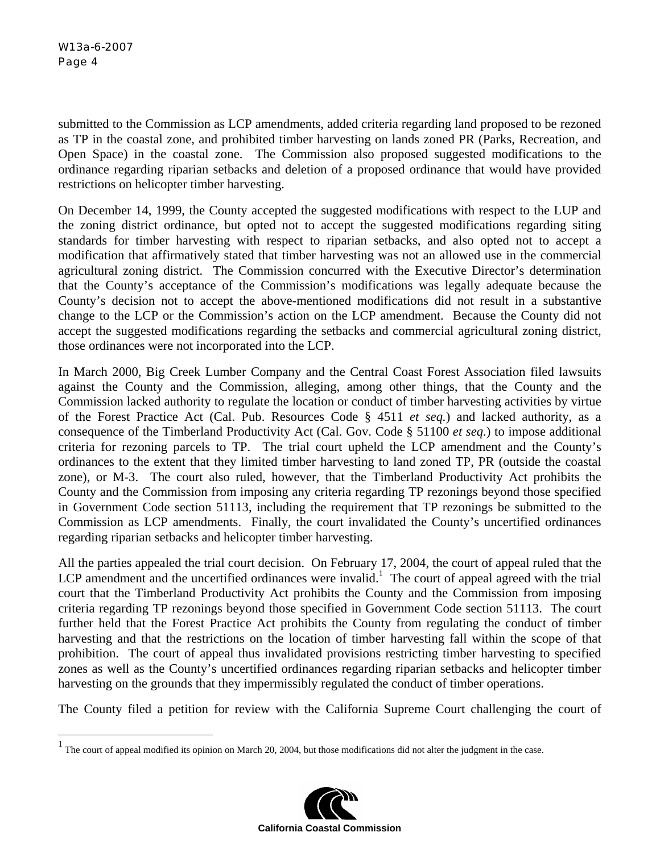1

submitted to the Commission as LCP amendments, added criteria regarding land proposed to be rezoned as TP in the coastal zone, and prohibited timber harvesting on lands zoned PR (Parks, Recreation, and Open Space) in the coastal zone. The Commission also proposed suggested modifications to the ordinance regarding riparian setbacks and deletion of a proposed ordinance that would have provided restrictions on helicopter timber harvesting.

On December 14, 1999, the County accepted the suggested modifications with respect to the LUP and the zoning district ordinance, but opted not to accept the suggested modifications regarding siting standards for timber harvesting with respect to riparian setbacks, and also opted not to accept a modification that affirmatively stated that timber harvesting was not an allowed use in the commercial agricultural zoning district. The Commission concurred with the Executive Director's determination that the County's acceptance of the Commission's modifications was legally adequate because the County's decision not to accept the above-mentioned modifications did not result in a substantive change to the LCP or the Commission's action on the LCP amendment. Because the County did not accept the suggested modifications regarding the setbacks and commercial agricultural zoning district, those ordinances were not incorporated into the LCP.

In March 2000, Big Creek Lumber Company and the Central Coast Forest Association filed lawsuits against the County and the Commission, alleging, among other things, that the County and the Commission lacked authority to regulate the location or conduct of timber harvesting activities by virtue of the Forest Practice Act (Cal. Pub. Resources Code § 4511 *et seq.*) and lacked authority, as a consequence of the Timberland Productivity Act (Cal. Gov. Code § 51100 *et seq.*) to impose additional criteria for rezoning parcels to TP. The trial court upheld the LCP amendment and the County's ordinances to the extent that they limited timber harvesting to land zoned TP, PR (outside the coastal zone), or M-3. The court also ruled, however, that the Timberland Productivity Act prohibits the County and the Commission from imposing any criteria regarding TP rezonings beyond those specified in Government Code section 51113, including the requirement that TP rezonings be submitted to the Commission as LCP amendments. Finally, the court invalidated the County's uncertified ordinances regarding riparian setbacks and helicopter timber harvesting.

All the parties appealed the trial court decision. On February 17, 2004, the court of appeal ruled that the LCP amendment and the uncertified ordinances were invalid.<sup>1</sup> The court of appeal agreed with the trial court that the Timberland Productivity Act prohibits the County and the Commission from imposing criteria regarding TP rezonings beyond those specified in Government Code section 51113. The court further held that the Forest Practice Act prohibits the County from regulating the conduct of timber harvesting and that the restrictions on the location of timber harvesting fall within the scope of that prohibition. The court of appeal thus invalidated provisions restricting timber harvesting to specified zones as well as the County's uncertified ordinances regarding riparian setbacks and helicopter timber harvesting on the grounds that they impermissibly regulated the conduct of timber operations.

The County filed a petition for review with the California Supreme Court challenging the court of

 $<sup>1</sup>$  The court of appeal modified its opinion on March 20, 2004, but those modifications did not alter the judgment in the case.</sup>

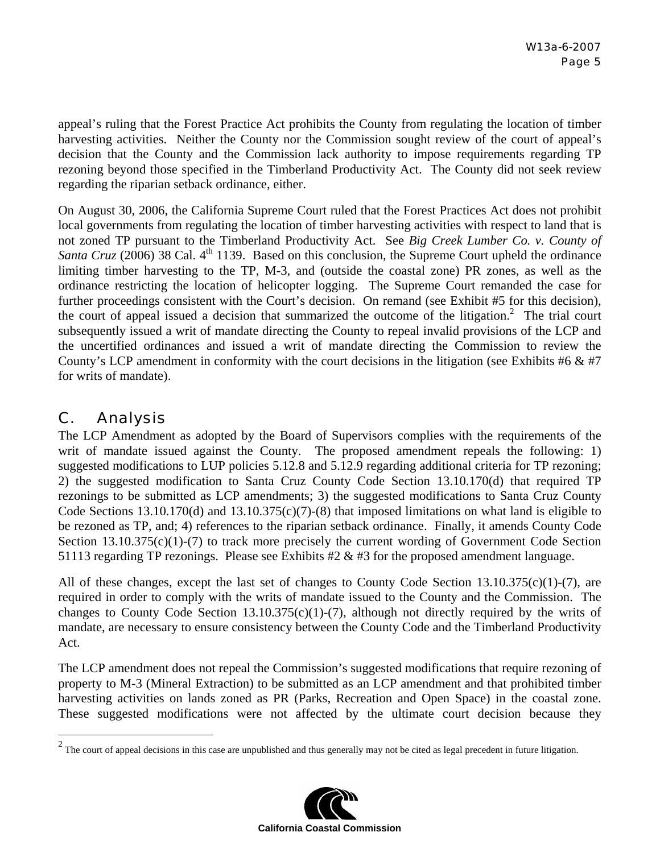appeal's ruling that the Forest Practice Act prohibits the County from regulating the location of timber harvesting activities. Neither the County nor the Commission sought review of the court of appeal's decision that the County and the Commission lack authority to impose requirements regarding TP rezoning beyond those specified in the Timberland Productivity Act. The County did not seek review regarding the riparian setback ordinance, either.

On August 30, 2006, the California Supreme Court ruled that the Forest Practices Act does not prohibit local governments from regulating the location of timber harvesting activities with respect to land that is not zoned TP pursuant to the Timberland Productivity Act. See *Big Creek Lumber Co. v. County of Santa Cruz* (2006) 38 Cal.  $4<sup>th</sup>$  1139. Based on this conclusion, the Supreme Court upheld the ordinance limiting timber harvesting to the TP, M-3, and (outside the coastal zone) PR zones, as well as the ordinance restricting the location of helicopter logging. The Supreme Court remanded the case for further proceedings consistent with the Court's decision. On remand (see Exhibit #5 for this decision), the court of appeal issued a decision that summarized the outcome of the litigation.<sup>2</sup> The trial court subsequently issued a writ of mandate directing the County to repeal invalid provisions of the LCP and the uncertified ordinances and issued a writ of mandate directing the Commission to review the County's LCP amendment in conformity with the court decisions in the litigation (see Exhibits #6 & #7 for writs of mandate).

## C. Analysis

 $\overline{a}$ 

The LCP Amendment as adopted by the Board of Supervisors complies with the requirements of the writ of mandate issued against the County. The proposed amendment repeals the following: 1) suggested modifications to LUP policies 5.12.8 and 5.12.9 regarding additional criteria for TP rezoning; 2) the suggested modification to Santa Cruz County Code Section 13.10.170(d) that required TP rezonings to be submitted as LCP amendments; 3) the suggested modifications to Santa Cruz County Code Sections 13.10.170(d) and 13.10.375(c)(7)-(8) that imposed limitations on what land is eligible to be rezoned as TP, and; 4) references to the riparian setback ordinance. Finally, it amends County Code Section 13.10.375(c)(1)-(7) to track more precisely the current wording of Government Code Section 51113 regarding TP rezonings. Please see Exhibits #2 & #3 for the proposed amendment language.

All of these changes, except the last set of changes to County Code Section 13.10.375(c)(1)-(7), are required in order to comply with the writs of mandate issued to the County and the Commission. The changes to County Code Section  $13.10.375(c)(1)-(7)$ , although not directly required by the writs of mandate, are necessary to ensure consistency between the County Code and the Timberland Productivity Act.

The LCP amendment does not repeal the Commission's suggested modifications that require rezoning of property to M-3 (Mineral Extraction) to be submitted as an LCP amendment and that prohibited timber harvesting activities on lands zoned as PR (Parks, Recreation and Open Space) in the coastal zone. These suggested modifications were not affected by the ultimate court decision because they

 $2<sup>2</sup>$  The court of appeal decisions in this case are unpublished and thus generally may not be cited as legal precedent in future litigation.

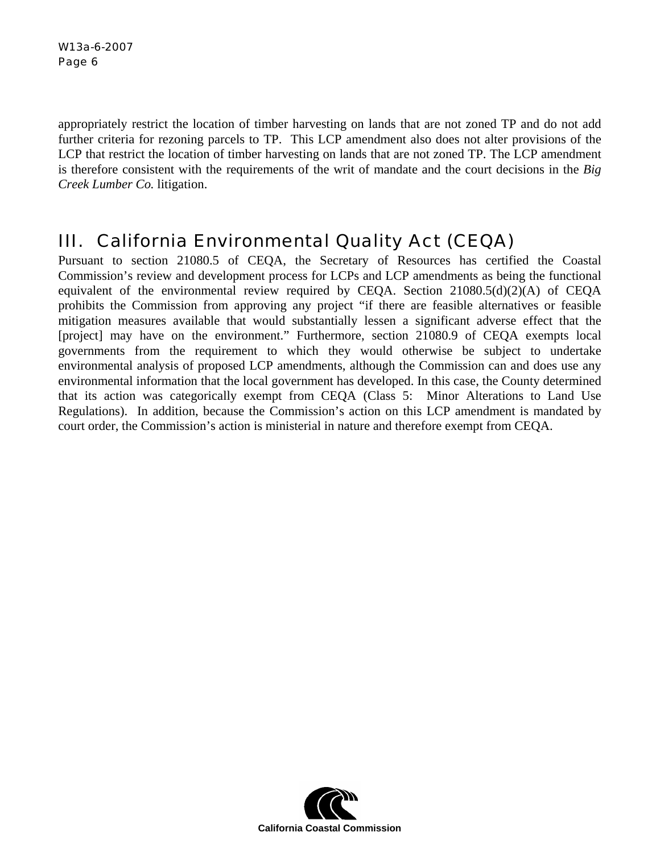appropriately restrict the location of timber harvesting on lands that are not zoned TP and do not add further criteria for rezoning parcels to TP. This LCP amendment also does not alter provisions of the LCP that restrict the location of timber harvesting on lands that are not zoned TP. The LCP amendment is therefore consistent with the requirements of the writ of mandate and the court decisions in the *Big Creek Lumber Co.* litigation.

## III. California Environmental Quality Act (CEQA)

Pursuant to section 21080.5 of CEQA, the Secretary of Resources has certified the Coastal Commission's review and development process for LCPs and LCP amendments as being the functional equivalent of the environmental review required by CEQA. Section  $21080.5(d)(2)(A)$  of CEQA prohibits the Commission from approving any project "if there are feasible alternatives or feasible mitigation measures available that would substantially lessen a significant adverse effect that the [project] may have on the environment." Furthermore, section 21080.9 of CEQA exempts local governments from the requirement to which they would otherwise be subject to undertake environmental analysis of proposed LCP amendments, although the Commission can and does use any environmental information that the local government has developed. In this case, the County determined that its action was categorically exempt from CEQA (Class 5: Minor Alterations to Land Use Regulations). In addition, because the Commission's action on this LCP amendment is mandated by court order, the Commission's action is ministerial in nature and therefore exempt from CEQA.

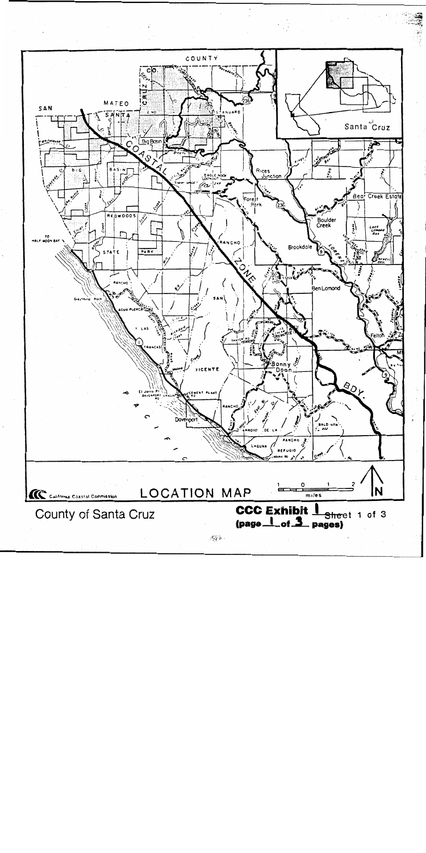

 $\mathcal{K}_\mathcal{S} \succ$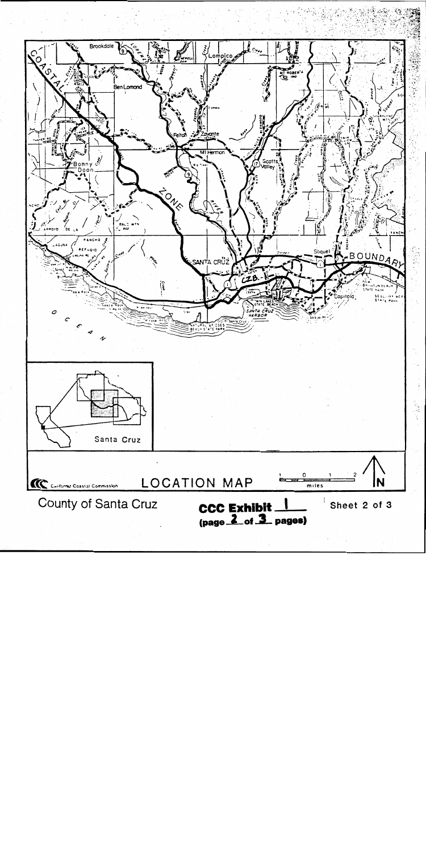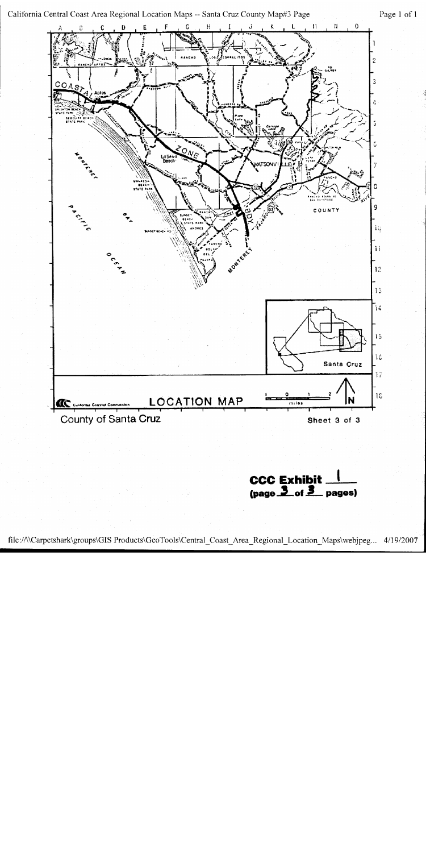California Central Coast Area Regional Location Maps -- Santa Cruz County Map#3 Page





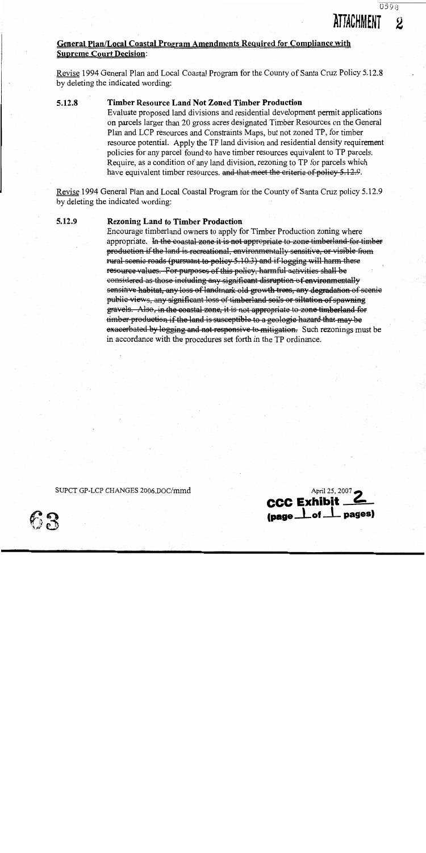Revise 1994 General Plan and Local Coastal Program for the County of Santa Cruz Policy 5.12.8 by deleting the indicated wording:

#### 5.12.8 Timber Resource Land Not Zoned Timber Production

Evaluate proposed land divisions and residential development permit applications on parcels larger than 20 gross acres designated Timber Resources on the General Plan and LCP resources and Constraints Maps, but not zoned TP, for timber resource potential. Apply the TP land division and residential density requirement policies for any parcel found to have timber resources equivalent to TP parcels. Require, as a condition of any land division, rezoning to TP for parcels which have equivalent timber resources, and that meet the criteria of policy 5.12.9.

Revise 1994 General Plan and Local Coastal Program for the County of Santa Cruz policy 5.12.9 by deleting the indicated wording:

#### 5.12.9 **Rezoning Land to Timber Production**

Encourage timberland owners to apply for Timber Production zoning where appropriate. In the coastal zone it is not appropriate to zone timberland for timber production if the land is recreational, environmentally sensitive, or visible from rural scenic roads (pursuant to policy 5.10.3) and if logging will harm these resource values. For purposes of this policy, harmful activities shall be considered as those including any significant disruption of environmentally sensitive habitat, any loss of landmark old growth trees, any degradation of scenic public views, any significant loss of timberland soils or siltation of spawning gravels. Also, in the coastal zone, it is not appropriate to zone timberland for timber-production if the land is susceptible to a geologic hazard that may be exacerbated by logging and not responsive to mitigation. Such rezonings must be in accordance with the procedures set forth in the TP ordinance.

SUPCT GP-LCP CHANGES 2006.DOC/mmd



0598

**ATTACHMENT**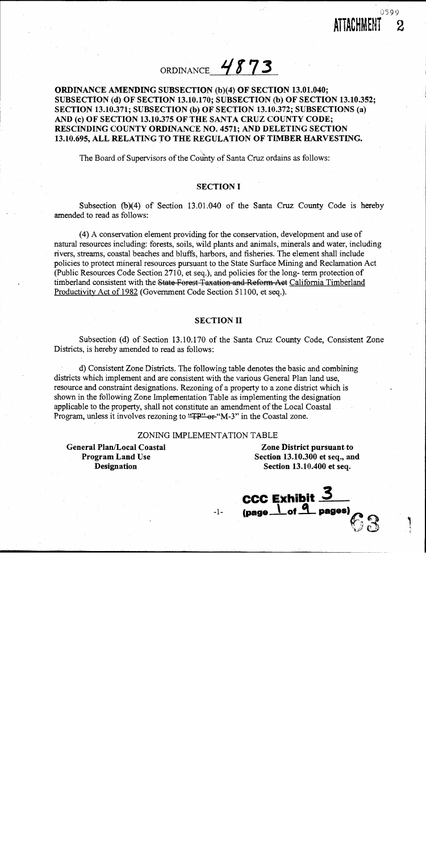## ORDINANCE 4873

## **ORDINANCE AMENDING SUBSECTION (b)(4) OF SECTION 13.01.040;** SUBSECTION (d) OF SECTION 13.10.170; SUBSECTION (b) OF SECTION 13.10.352; SECTION 13.10.371; SUBSECTION (b) OF SECTION 13.10.372; SUBSECTIONS (a) AND (c) OF SECTION 13.10.375 OF THE SANTA CRUZ COUNTY CODE; RESCINDING COUNTY ORDINANCE NO. 4571; AND DELETING SECTION 13.10.695, ALL RELATING TO THE REGULATION OF TIMBER HARVESTING.

The Board of Supervisors of the County of Santa Cruz ordains as follows:

### **SECTION I**

Subsection (b)(4) of Section 13.01.040 of the Santa Cruz County Code is hereby amended to read as follows:

(4) A conservation element providing for the conservation, development and use of natural resources including: forests, soils, wild plants and animals, minerals and water, including rivers, streams, coastal beaches and bluffs, harbors, and fisheries. The element shall include policies to protect mineral resources pursuant to the State Surface Mining and Reclamation Act (Public Resources Code Section 2710, et seq.), and policies for the long-term protection of timberland consistent with the State Forest Taxation and Reform-Act California Timberland Productivity Act of 1982 (Government Code Section 51100, et seq.).

### **SECTION II**

Subsection (d) of Section 13.10.170 of the Santa Cruz County Code, Consistent Zone Districts, is hereby amended to read as follows:

d) Consistent Zone Districts. The following table denotes the basic and combining districts which implement and are consistent with the various General Plan land use, resource and constraint designations. Rezoning of a property to a zone district which is shown in the following Zone Implementation Table as implementing the designation applicable to the property, shall not constitute an amendment of the Local Coastal Program, unless it involves rezoning to "TP" or "M-3" in the Coastal zone.

### ZONING IMPLEMENTATION TABLE

 $-1-$ 

**General Plan/Local Coastal Program Land Use Designation** 

Zone District pursuant to Section 13.10.300 et seq., and Section 13.10.400 et seq.

CCC Exhibit  $\frac{3}{2}$  (page  $\frac{1}{2}$  of  $\frac{9}{2}$  pages)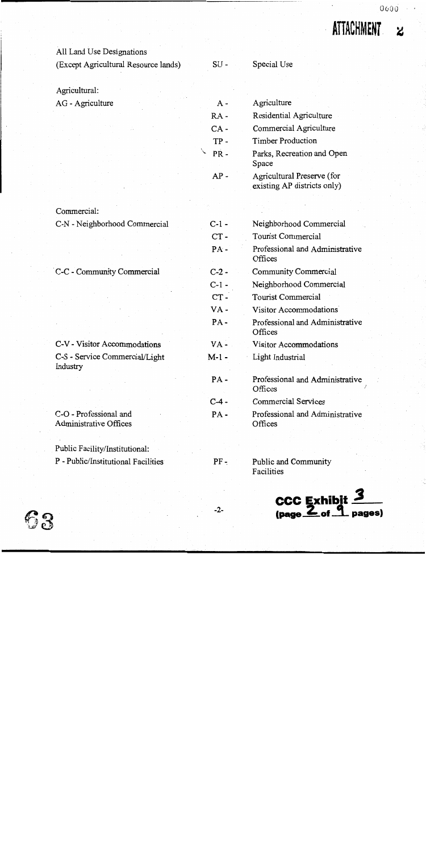

 $0.600$ 

## All Land Use Designations

(Except Agricultural Resource lands)

 $SU -$ 

 $A -$ 

Special Use

Agriculture

Agricultural:

Commercial:

Industry

C-N - Neighborhood Commercial

C-C - Community Commercial

C-V - Visitor Accommodations C-S - Service Commercial/Light

C-O - Professional and Administrative Offices

Public Facility/Institutional:

P - Public/Institutional Facilities

AG - Agriculture

| Residential Agriculture                                   |
|-----------------------------------------------------------|
| Commercial Agriculture                                    |
| <b>Timber Production</b>                                  |
| Parks, Recreation and Open<br>Space                       |
| Agricultural Preserve (for<br>existing AP districts only) |
|                                                           |
| Neighborhood Commercial                                   |
| <b>Tourist Commercial</b>                                 |
| Professional and Administrative<br>Offices                |
| Community Commercial                                      |
| Neighborhood Commercial                                   |
| <b>Tourist Commercial</b>                                 |
| Visitor Accommodations                                    |
| Professional and Administrative<br>Offices                |
| Visitor Accommodations                                    |
| Light Industrial                                          |
| Professional and Administrative<br>Offices                |
| <b>Commercial Services</b>                                |
| Professional and Administrative<br>Offices                |
|                                                           |

Public and Community Facilities

CCC Exhibit  $\frac{3}{2}$  (page  $\frac{2}{3}$  of  $\frac{9}{2}$  pages)



 $-2-$ 

 $PF -$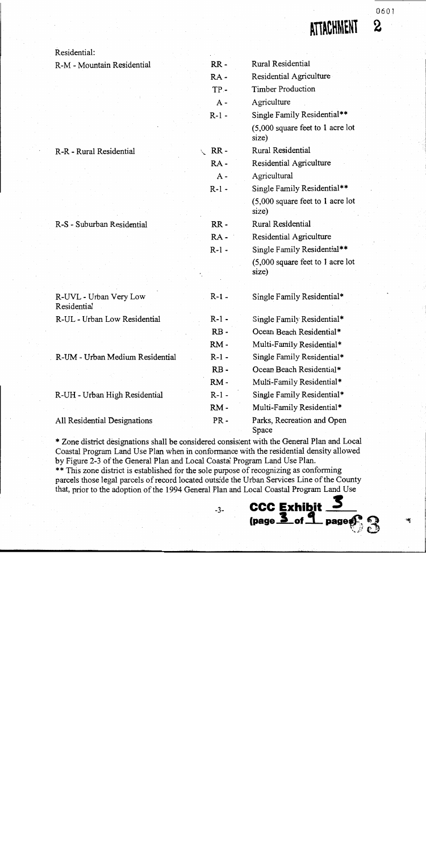0601 2

## ATTACHMENI

Residential:

Rural Residential R-M - Mountain Residential  $RR RA -$ Residential Agriculture TP-**Timber Production**  $A -$ Agriculture Single Family Residential\*\*  $R-1 (5,000)$  square feet to 1 acre lot size)  $\mathbb{R}$  RR -Rural Residential R-R - Rural Residential  $RA -$ Residential Agriculture  $A -$ Agricultural  $R-1 -$ Single Family Residential\*\*  $(5,000)$  square feet to 1 acre lot size)  $RR -$ Rural Residential R-S - Suburban Residential  $RA -$ Residential Agriculture  $R-1$  -Single Family Residential\*\* (5,000 square feet to 1 acre lot size)  $R-1$  -Single Family Residential\* R-UVL - Urban Very Low Residential  $R-1$  -Single Family Residential\* R-UL - Urban Low Residential  $RB -$ Ocean Beach Residential\*  $RM -$ Multi-Family Residential\* R-UM - Urban Medium Residential  $R-1$  -Single Family Residential\*  $RB -$ Ocean Beach Residential\*  $RM -$ Multi-Family Residential\* R-UH - Urban High Residential  $R-1$  -Single Family Residential\* Multi-Family Residential\*  $RM PR -$ Parks, Recreation and Open All Residential Designations Space

\* Zone district designations shall be considered consistent with the General Plan and Local Coastal Program Land Use Plan when in conformance with the residential density allowed by Figure 2-3 of the General Plan and Local Coastal Program Land Use Plan. \*\* This zone district is established for the sole purpose of recognizing as conforming

parcels those legal parcels of record located outside the Urban Services Line of the County that, prior to the adoption of the 1994 General Plan and Local Coastal Program Land Use

 $-3-$ 

**CCC Exhibit.** 

 $\left(\text{page 3 of 4 page}\right)$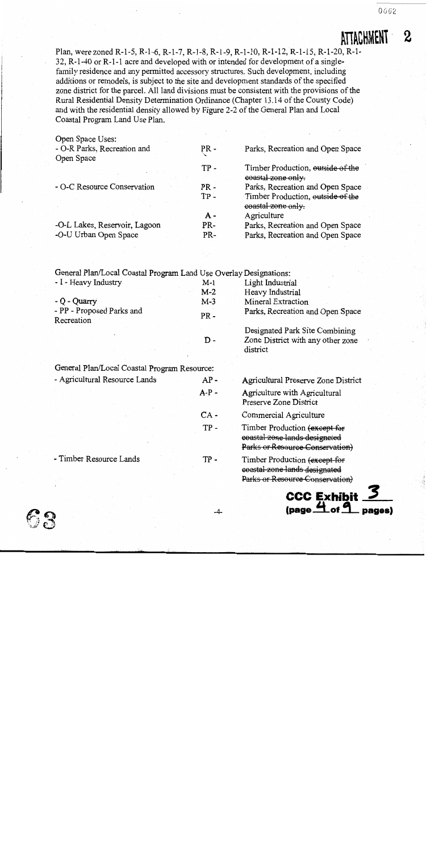0602

## **ATTACHMENT**

Plan, were zoned R-1-5, R-1-6, R-1-7, R-1-8, R-1-9, R-1-10, R-1-12, R-1-15, R-1-20, R-1-32, R-1-40 or R-1-1 acre and developed with or intended for development of a singlefamily residence and any permitted accessory structures. Such development, including additions or remodels, is subject to the site and development standards of the specified zone district for the parcel. All land divisions must be consistent with the provisions of the Rural Residential Density Determination Ordinance (Chapter 13.14 of the County Code) and with the residential density allowed by Figure 2-2 of the General Plan and Local Coastal Program Land Use Plan.

| PR -       | Parks, Recreation and Open Space                        |
|------------|---------------------------------------------------------|
|            |                                                         |
| TP -       | Timber Production, outside of the<br>coastal zone only. |
| $PR -$     | Parks, Recreation and Open Space                        |
| TP-        | Timber Production, outside of the<br>coastal zone only. |
| <b>A</b> - | Agriculture                                             |
| PR-        | Parks, Recreation and Open Space                        |
| PR-        | Parks, Recreation and Open Space                        |
|            |                                                         |

General Plan/Local Coastal Program Land Use Overlay Designations:

| - I - Heavy Industry                    | $M-1$  | Light Industrial                                                    |
|-----------------------------------------|--------|---------------------------------------------------------------------|
|                                         | $M-2$  | Heavy Industrial                                                    |
| - Q - Quarry                            | $M-3$  | Mineral Extraction                                                  |
| - PP - Proposed Parks and<br>Recreation | $PR -$ | Parks, Recreation and Open Space                                    |
|                                         |        | Designated Park Site Combining<br>Zone District with any other zone |

district

General Plan/Local Coastal Program Resource:

| - Agricultural Resource Lands | $AP -$  | Agricultural Preserve Zone District                                                               |
|-------------------------------|---------|---------------------------------------------------------------------------------------------------|
|                               | $A-P -$ | Agriculture with Agricultural<br>Preserve Zone District                                           |
|                               | $CA -$  | Commercial Agriculture                                                                            |
|                               | TP-     | Timber Production (except for<br>coastal zone lands designated<br>Parks or Resource Conservation) |
| - Timber Resource Lands       | TP -    | Timber Production (except for<br>coastal zone lands designated<br>Parks or Resource Conservation) |



 $-4-$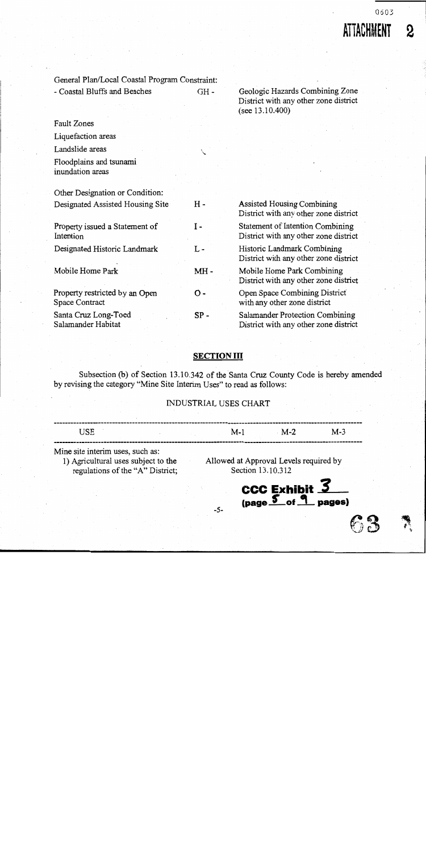$\sum_{i=1}^{n}$ 

| General Plan/Local Coastal Program Constraint:   |        |                                                                                                |
|--------------------------------------------------|--------|------------------------------------------------------------------------------------------------|
| - Coastal Bluffs and Beaches                     | $GH -$ | Geologic Hazards Combining Zone<br>District with any other zone district<br>(see $13.10.400$ ) |
| <b>Fault Zones</b>                               |        |                                                                                                |
| Liquefaction areas                               |        |                                                                                                |
| Landslide areas                                  |        |                                                                                                |
| Floodplains and tsunami<br>inundation areas      |        |                                                                                                |
| Other Designation or Condition:                  |        |                                                                                                |
| Designated Assisted Housing Site                 | H -    | <b>Assisted Housing Combining</b><br>District with any other zone district                     |
| Property issued a Statement of<br>Intention      | $I -$  | Statement of Intention Combining<br>District with any other zone district                      |
| Designated Historic Landmark                     | L-     | Historic Landmark Combining<br>District with any other zone district                           |
| Mobile Home Park                                 | MH-    | Mobile Home Park Combining<br>District with any other zone district                            |
| Property restricted by an Open<br>Space Contract | о.     | Open Space Combining District<br>with any other zone district                                  |
| Santa Cruz Long-Toed<br>Salamander Habitat       | $SP -$ | Salamander Protection Combining<br>District with any other zone district                       |

## **SECTION III**

Subsection (b) of Section 13.10.342 of the Santa Cruz County Code is hereby amended by revising the category "Mine Site Interim Uses" to read as follows:

### INDUSTRIAL USES CHART

 $-5-$ 

Mine site interim uses, such as:

1) Agricultural uses subject to the regulations of the "A" District; Allowed at Approval Levels required by Section 13.10.312

CCC Exhibit  $\frac{3}{2}$  (page  $\frac{5}{2}$  of  $\frac{9}{2}$  pages)

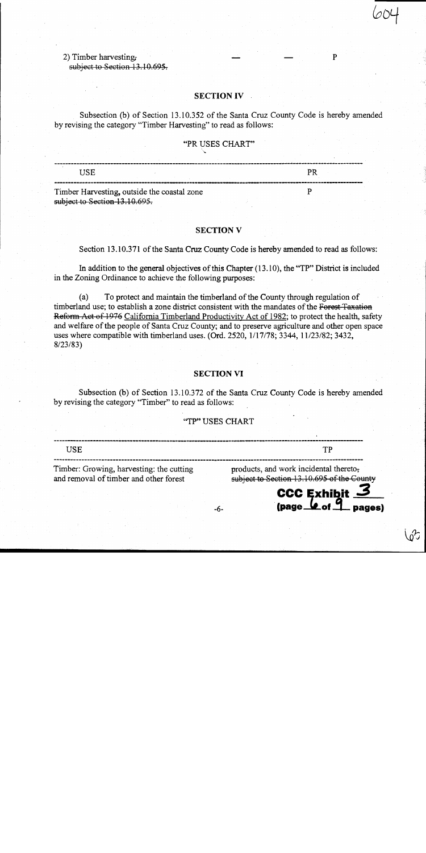2) Timber harvesting. subject to Section 13.10.695.

### **SECTION IV**

P

**\_ pages)** 

Subsection (b) of Section 13.10.352 of the Santa Cruz County Code is hereby amended by revising the category "Timber Harvesting" to read as follows:

### "PR USES CHART"

| TISE.                                       |  |
|---------------------------------------------|--|
| Timber Harvesting, outside the coastal zone |  |
| subject to Section 13.10.695.               |  |

### **SECTION V**

Section 13.10.371 of the Santa Cruz County Code is hereby amended to read as follows:

In addition to the general objectives of this Chapter (13.10), the "TP" District is included in the Zoning Ordinance to achieve the following purposes:

To protect and maintain the timberland of the County through regulation of  $(a)$ timberland use; to establish a zone district consistent with the mandates of the Forest-Taxation Reform Act of 1976 California Timberland Productivity Act of 1982; to protect the health, safety and welfare of the people of Santa Cruz County; and to preserve agriculture and other open space uses where compatible with timberland uses. (Ord. 2520, 1/17/78; 3344, 11/23/82; 3432,  $8/23/83$ 

### **SECTION VI**

Subsection (b) of Section 13.10.372 of the Santa Cruz County Code is hereby amended by revising the category "Timber" to read as follows:

### "TP" USES CHART

**USE** TP Timber: Growing, harvesting: the cutting products, and work incidental thereto, and removal of timber and other forest subject to Section 13.10.695 of the County **CCC Exhibit \_**  $(page \& of  $9$ )$ 

 $-6-$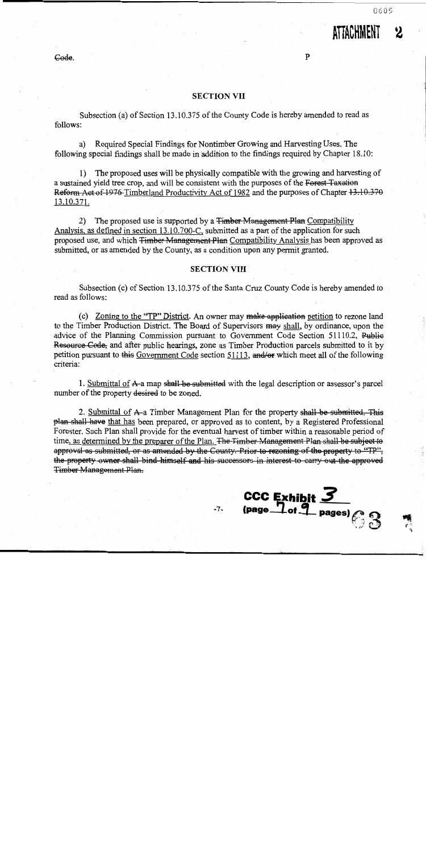ATTACHMENT

 $\mathbf{P}$ 

### Code.

### **SECTION VII**

Subsection (a) of Section 13.10.375 of the County Code is hereby amended to read as follows:

Required Special Findings for Nontimber Growing and Harvesting Uses. The a) following special findings shall be made in addition to the findings required by Chapter 18.10:

1) The proposed uses will be physically compatible with the growing and harvesting of a sustained yield tree crop, and will be consistent with the purposes of the Forest-Taxation Reform Act of 1976 Timberland Productivity Act of 1982 and the purposes of Chapter 13.10.370 13.10.371.

2) The proposed use is supported by a <del>Timber Management Plan</del> Compatibility Analysis, as defined in section 13.10.700-C, submitted as a part of the application for such proposed use, and which <del>Timber Management Plan</del> Compatibility Analysis has been approved as submitted, or as amended by the County, as a condition upon any permit granted.

### **SECTION VIII**

Subsection (c) of Section 13.10.375 of the Santa Cruz County Code is hereby amended to read as follows:

(c) Zoning to the "TP" District. An owner may make application petition to rezone land to the Timber Production District. The Board of Supervisors may shall, by ordinance, upon the advice of the Planning Commission pursuant to Government Code Section 51110.2, Public Resource Code, and after public hearings, zone as Timber Production parcels submitted to it by petition pursuant to this Government Code section 51113, and/or which meet all of the following criteria:

1. Submittal of A-a map shall be submitted with the legal description or assessor's parcel number of the property desired to be zoned.

2. Submittal of A-a Timber Management Plan for the property shall be submitted. This plan shall have that has been prepared, or approved as to content, by a Registered Professional Forester. Such Plan shall provide for the eventual harvest of timber within a reasonable period of time, as determined by the preparer of the Plan. The Timber Management Plan shall be subject to approval as submitted, or as amended by the County. Prior to rezoning of the property to "TP", the property owner shall bind himself and his successors in interest to carry out the approved Timber Management Plan.

CCC Exhibit  $\frac{3}{2}$ <br>(page  $\frac{1}{2}$  of  $\frac{9}{2}$  pages)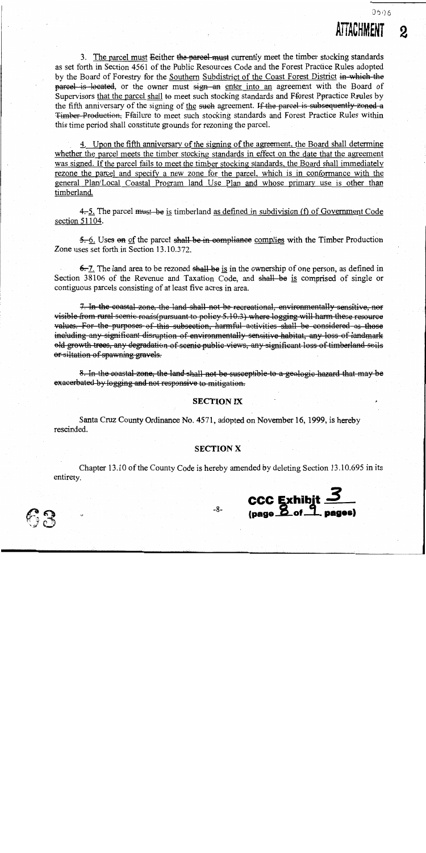$\overline{2}$ 

# ATTACHMENT

3. The parcel must Eeither the parcel must currently meet the timber stocking standards as set forth in Section 4561 of the Public Resources Code and the Forest Practice Rules adopted by the Board of Forestry for the Southern Subdistrict of the Coast Forest District in-which the parcel is located, or the owner must sign an enter into an agreement with the Board of Supervisors that the parcel shall to meet such stocking standards and Fforest Ppractice Rrules by the fifth anniversary of the signing of the such agreement. If the parcel is subsequently zoned a Timber-Production, Ffailure to meet such stocking standards and Forest Practice Rules within this time period shall constitute grounds for rezoning the parcel.

4. Upon the fifth anniversary of the signing of the agreement, the Board shall determine whether the parcel meets the timber stocking standards in effect on the date that the agreement was signed. If the parcel fails to meet the timber stocking standards, the Board shall immediately rezone the parcel and specify a new zone for the parcel, which is in conformance with the general Plan/Local Coastal Program land Use Plan and whose primary use is other than timberland.

4.5. The parcel must be is timberland as defined in subdivision (f) of Government Code section 51104.

5. 6. Uses on of the parcel shall be in compliance complies with the Timber Production Zone uses set forth in Section 13.10.372.

 $6-7$ . The land area to be rezoned shall be is in the ownership of one person, as defined in Section 38106 of the Revenue and Taxation Code, and shall be is comprised of single or contiguous parcels consisting of at least five acres in area.

7. In the coastal zone, the land shall not be recreational, environmentally sensitive, nor visible from rural scenic roads (pursuant to policy 5.10.3) where logging will harm these resource values. For the purposes of this subsection, harmful activities shall be considered as those including any significant disruption of environmentally sensitive habitat, any loss of landmark old growth trees, any degradation of scenic public views, any significant loss of timberland soils or-siltation of spawning gravels.

8. In the coastal-zone, the land shall not be susceptible-to-a geologic hazard that may be exacerbated by logging and not responsive to mitigation.

### **SECTION IX**

Santa Cruz County Ordinance No. 4571, adopted on November 16, 1999, is hereby rescinded.

### **SECTION X**

Chapter 13.10 of the County Code is hereby amended by deleting Section 13.10.695 in its entirety.

CCC Exhibit  $\frac{3}{2}$ <br>(page  $\frac{3}{2}$  of  $\frac{1}{2}$  pages)

 $-8-$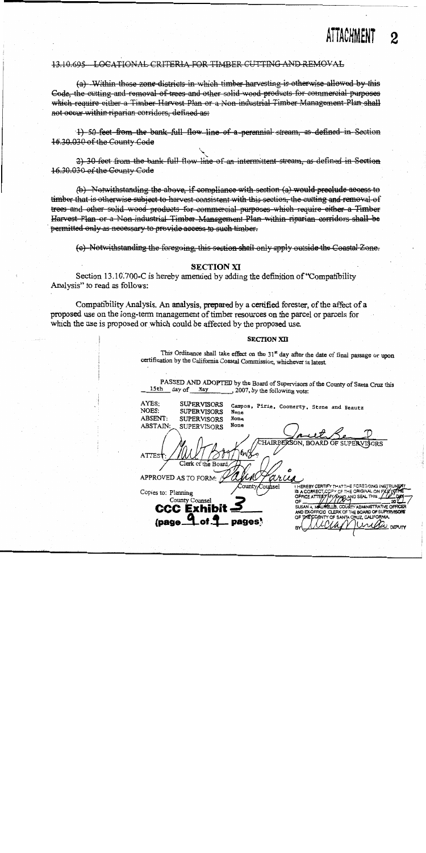### 13.10.695 LOCATIONAL CRITERIA FOR TIMBER CUTTING AND REMOVAL

(a) Within those zone districts in which timber harvesting is otherwise allowed by this Code, the cutting and removal of trees and other solid wood products for commercial purposes which require either a Timber-Harvest Plan or a Non-industrial Timber Management Plan shall not occur within riparian corridors, defined as:

1) 50 feet from the bank full flow line of a perennial stream, as defined in Section 16.30.030 of the County Code

2) 30 feet from the bank full flow line of an intermittent stream, as defined in Section 16.30.030 of the County Code

 $(b)$  Notwithstanding the above, if compliance with section (a) would preclude access to timber that is otherwise subject to harvest consistent with this section, the cutting and removal of trees and other solid wood products for commercial purposes which require either a Timber Harvest Plan or a Non-industrial Timber Management Plan within riparian corridors shall be permitted only as necessary to provide access to such timber.

(e) Notwithstanding the foregoing, this section shall only apply outside the Coastal Zone.

### **SECTION XI**

Section 13.10.700-C is hereby amended by adding the definition of "Compatibility Analysis" to read as follows:

Compatibility Analysis. An analysis, prepared by a certified forester, of the affect of a proposed use on the long-term management of timber resources on the parcel or parcels for which the use is proposed or which could be affected by the proposed use.

#### **SECTION XTI**

This Ordinance shall take effect on the 31st day after the date of final passage or upon certification by the California Coastal Commission, whichever is latest.

PASSED AND ADOPTED by the Board of Supervisors of the County of Santa Cruz this 15th \_\_ day of \_\_ May 2007, by the following vote:

AYES: **SUPERVISORS** Campos, Pirie, Coonerty, Stone and Beautz **NOES: SUPERVISORS** None ABSENT: **None SUPERVISORS ABSTAIN:** None **SUPERVISORS** CHAIRPERSON, BOARD OF SUPERVISORS ATTEST Clerk of the Board APPROVED AS TO FORM: / aru County/Counsel I HEREBY CERTIFY THAT THE FOREGOING INSTRUMENT IS A CORRECT, CCPY OF THE ORIGINAL ON F) Copies to: Planning County Counsel SUSAN A. M **B COUNTY ADMINISTRATIVE OFFICE CCC Exhib** AND EX-OFFICIO CLEAK OF THE BOARD OF SUPERVISORS COUNTY OF SANTA CRUZ, CALIFORNIA. (page. pages) aw DEPLITY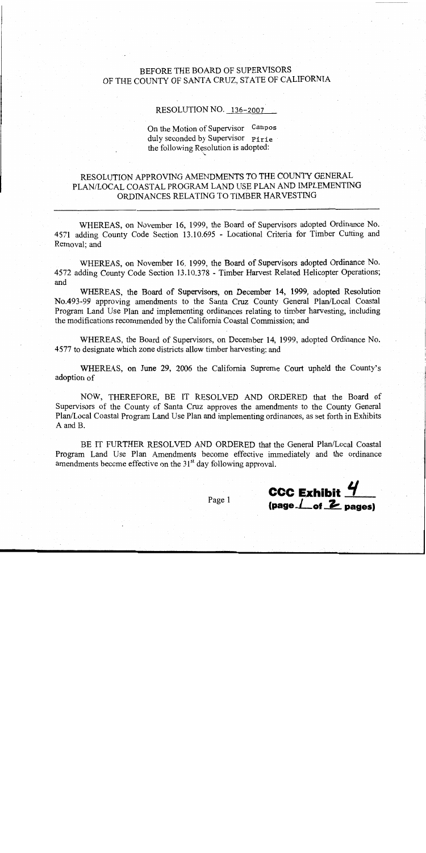## BEFORE THE BOARD OF SUPERVISORS OF THE COUNTY OF SANTA CRUZ, STATE OF CALIFORNIA

### RESOLUTION NO. 136-2007

On the Motion of Supervisor Campos duly seconded by Supervisor Pirie the following Resolution is adopted:

### RESOLUTION APPROVING AMENDMENTS TO THE COUNTY GENERAL PLAN/LOCAL COASTAL PROGRAM LAND USE PLAN AND IMPLEMENTING ORDINANCES RELATING TO TIMBER HARVESTING

WHEREAS, on November 16, 1999, the Board of Supervisors adopted Ordinance No. 4571 adding County Code Section 13.10.695 - Locational Criteria for Timber Cutting and Removal; and

WHEREAS, on November 16, 1999, the Board of Supervisors adopted Ordinance No. 4572 adding County Code Section 13.10.378 - Timber Harvest Related Helicopter Operations; and

WHEREAS, the Board of Supervisors, on December 14, 1999, adopted Resolution No.493-99 approving amendments to the Santa Cruz County General Plan/Local Coastal Program Land Use Plan and implementing ordinances relating to timber harvesting, including the modifications recommended by the California Coastal Commission; and

WHEREAS, the Board of Supervisors, on December 14, 1999, adopted Ordinance No. 4577 to designate which zone districts allow timber harvesting; and

WHEREAS, on June 29, 2006 the California Supreme Court upheld the County's adoption of

NOW, THEREFORE, BE IT RESOLVED AND ORDERED that the Board of Supervisors of the County of Santa Cruz approves the amendments to the County General Plan/Local Coastal Program Land Use Plan and implementing ordinances, as set forth in Exhibits A and B.

BE IT FURTHER RESOLVED AND ORDERED that the General Plan/Local Coastal Program Land Use Plan Amendments become effective immediately and the ordinance amendments become effective on the 31<sup>st</sup> day following approval.



Page 1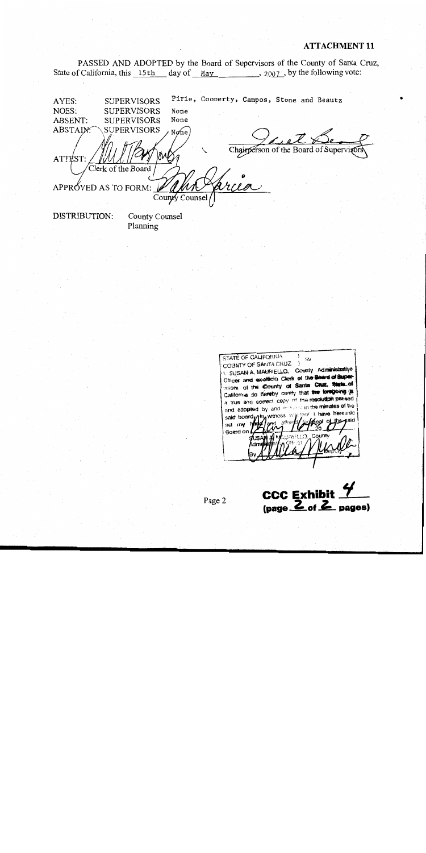## **ATTACHMENT 11**

PASSED AND ADOPTED by the Board of Supervisors of the County of Santa Cruz, State of California, this 15th day of May 2007, by the following vote:

| AYES:         | <b>SUPERVISORS</b>                 |                | Pirie, Coonerty, Campos, Stone and Beautz |  |
|---------------|------------------------------------|----------------|-------------------------------------------|--|
| NOES:         | <b>SUPERVISORS</b>                 | None           |                                           |  |
| ABSENT:       | <b>SUPERVISORS</b>                 | None           |                                           |  |
| ABSTAIN:      | <b>SUPERVISORS</b>                 | None           |                                           |  |
| ATTEST:       |                                    |                | Chairperson of the Board of Supervisors   |  |
|               | Clerk of the Board                 |                |                                           |  |
|               | APPROVED AS TO FORM: $\mathscr{P}$ |                |                                           |  |
|               |                                    | County Counsel |                                           |  |
| DISTRIBUTION: | County Counsel                     |                |                                           |  |

Planning

STATE OF CALIFORNIA SS COUNTY OF SANTA CRUZ ) I. SUSAN A. MAURIELLO. County Administrative Officer and ex-officio Clerk of the Board of Supervisors of the County of Santa Cruz, State of California do hereby certify that the foregoing is a true and correct copy of the resolution passed and adopted by and entered in the minutes of the I have hereunto witness whereof said board, eal set my Board on

CCC Exhibit  $\frac{7}{(page \cdot 2 \cdot of \cdot 2 \cdot page)}$ 

Page 2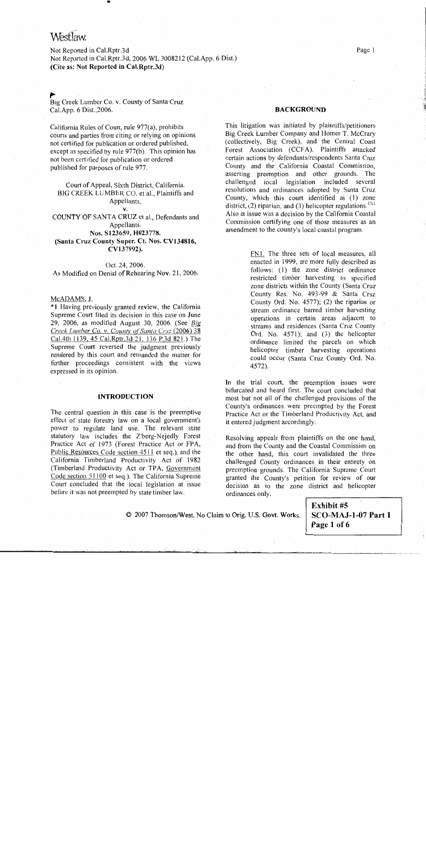## Westlaw

Not Reported in Cal.Rptr.3d Not Reported in Cal.Rptr.3d, 2006 WL 3008212 (Cal.App. 6 Dist.) (Cite as: Not Reported in Cal.Rptr.3d)

Big Creek Lumber Co. v. County of Santa Cruz Cal.App. 6 Dist., 2006.

California Rules of Court, rule 977(a), prohibits courts and parties from citing or relying on opinions not certified for publication or ordered published, except as specified by rule 977(b). This opinion has not been certified for publication or ordered published for purposes of rule 977.

Court of Appeal, Sixth District, California. BIG CREEK LUMBER CO. et al., Plaintiffs and Appellants,

 $\mathbf{v}$ 

COUNTY OF SANTA CRUZ et al., Defendants and Appellants. Nos. S123659, H023778.

(Santa Cruz County Super. Ct. Nos. CV134816, CV137992).

### Oct. 24, 2006.

As Modified on Denial of Rehearing Nov. 21, 2006.

### McADAMS, J.

\*1 Having previously granted review, the California Supreme Court filed its decision in this case on June 29, 2006, as modified August 30, 2006. (See  $Big$ Creek Lumber Co. v. County of Santa Cruz (2006) 38 Cal.4th 1139, 45 Cal.Rptr.3d 21, 136 P.3d 821.) The Supreme Court reversed the judgment previously rendered by this court and remanded the matter for further proceedings consistent with the views expressed in its opinion.

### **INTRODUCTION**

The central question in this case is the preemptive effect of state forestry law on a local government's power to regulate land use. The relevant state statutory law includes the Z'berg-Nejedly Forest Practice Act of 1973 (Forest Practice Act or FPA, Public Resources Code section 4511 et seq.), and the California Timberland Productivity Act of 1982 (Timberland Productivity Act or TPA, Government Code section 51100 et seq.). The California Supreme Court concluded that the local legislation at issue before it was not preempted by state timber law.

### **BACKGROUND**

This litigation was initiated by plaintiffs/petitioners Big Creek Lumber Company and Homer T. McCrary (collectively, Big Creek), and the Central Coast Forest Association (CCFA). Plaintiffs attacked certain actions by defendants/respondents Santa Cruz County and the California Coastal Commission, asserting preemption and other grounds. The challenged local legislation included several resolutions and ordinances adopted by Santa Cruz County, which this court identified as (1) zone district, (2) riparian, and (3) helicopter regulations.  $\frac{FN1}{FN}$ Also at issue was a decision by the California Coastal Commission certifying one of those measures as an amendment to the county's local coastal program.

> FN1. The three sets of local measures, all enacted in 1999, are more fully described as follows: (1) the zone district ordinance restricted timber harvesting to specified zone districts within the County (Santa Cruz County Res. No. 493-99 & Santa Cruz County Ord. No. 4577); (2) the riparian or stream ordinance barred timber harvesting operations in certain areas adjacent to streams and residences (Santa Cruz County Ord. No. 4571); and (3) the helicopter ordinance limited the parcels on which helicopter timber harvesting operations could occur (Santa Cruz County Ord. No. 4572).

In the trial court, the preemption issues were bifurcated and heard first. The court concluded that most but not all of the challenged provisions of the County's ordinances were preempted by the Forest Practice Act or the Timberland Productivity Act, and it entered judgment accordingly.

Resolving appeals from plaintiffs on the one hand, and from the County and the Coastal Commission on the other hand, this court invalidated the three challenged County ordinances in their entirety on preemption grounds. The California Supreme Court granted the County's petition for review of our decision as to the zone district and helicopter ordinances only.

© 2007 Thomson/West, No Claim to Orig. U.S. Govt. Works.

Exhibit #5 SCO-MAJ-1-07 Part 1 Page 1 of 6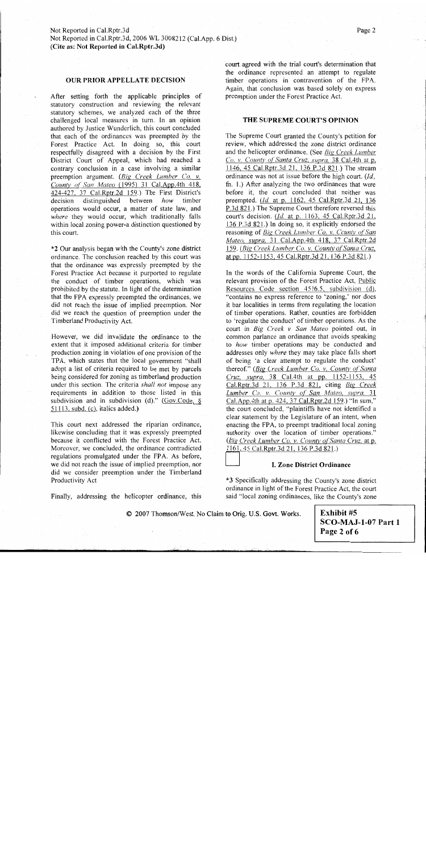### **OUR PRIOR APPELLATE DECISION**

After setting forth the applicable principles of statutory construction and reviewing the relevant statutory schemes, we analyzed each of the three challenged local measures in turn. In an opinion authored by Justice Wunderlich, this court concluded that each of the ordinances was preempted by the Forest Practice Act. In doing so, this court respectfully disagreed with a decision by the First District Court of Appeal, which had reached a contrary conclusion in a case involving a similar preemption argument. (Big Creek Lumber Co. v. County of San Mateo (1995) 31 Cal.App.4th 418, 424-427, 37 Cal.Rptr.2d 159.) The First District's decision distinguished between how timber operations would occur, a matter of state law, and where they would occur, which traditionally falls within local zoning power-a distinction questioned by this court.

\*2 Our analysis began with the County's zone district ordinance. The conclusion reached by this court was that the ordinance was expressly preempted by the Forest Practice Act because it purported to regulate the conduct of timber operations, which was prohibited by the statute. In light of the determination that the FPA expressly preempted the ordinances, we did not reach the issue of implied preemption. Nor did we reach the question of preemption under the Timberland Productivity Act.

However, we did invalidate the ordinance to the extent that it imposed additional criteria for timber production zoning in violation of one provision of the TPA, which states that the local government "shall adopt a list of criteria required to be met by parcels being considered for zoning as timberland production under this section. The criteria *shall not* impose any requirements in addition to those listed in this subdivision and in subdivision (d)." (Gov.Code, §  $51113$ , subd. (c), italics added.)

This court next addressed the riparian ordinance, likewise concluding that it was expressly preempted because it conflicted with the Forest Practice Act. Moreover, we concluded, the ordinance contradicted regulations promulgated under the FPA. As before, we did not reach the issue of implied preemption, nor did we consider preemption under the Timberland Productivity Act

Finally, addressing the helicopter ordinance, this

court agreed with the trial court's determination that the ordinance represented an attempt to regulate timber operations in contravention of the FPA. Again, that conclusion was based solely on express preemption under the Forest Practice Act.

### THE SUPREME COURT'S OPINION

The Supreme Court granted the County's petition for review, which addressed the zone district ordinance and the helicopter ordinance. (See Big Creek Lumber Co. v. County of Santa Cruz, supra, 38 Cal.4th at p. 1146, 45 Cal.Rptr.3d 21, 136 P.3d 821.) The stream ordinance was not at issue before the high court. (Id., fn. 1.) After analyzing the two ordinances that were before it, the court concluded that neither was preempted. (*ld.* at p. 1162, 45 Cal.Rptr.3d 21, 136 P.3d 821.) The Supreme Court therefore reversed this court's decision. (Id. at p. 1163, 45 Cal.Rptr.3d 21, 136 P.3d 821.) In doing so, it explicitly endorsed the reasoning of Big Creek Lumber Co. v. County of San Mateo, supra, 31 Cal.App.4th 418, 37 Cal.Rptr.2d 159. (Big Creek Lumber Co. v. County of Santa Cruz, at pp. 1152-1153, 45 Cal.Rptr.3d 21, 136 P.3d 821.)

In the words of the California Supreme Court, the relevant provision of the Forest Practice Act, Public Resources Code section 4516.5, subdivision (d), "contains no express reference to 'zoning,' nor does it bar localities in terms from regulating the location of timber operations. Rather, counties are forbidden to 'regulate the conduct' of timber operations. As the court in Big Creek v. San Mateo pointed out, in common parlance an ordinance that avoids speaking to how timber operations may be conducted and addresses only where they may take place falls short of being 'a clear attempt to regulate the conduct' thereof." (Big Creek Lumber Co. v. County of Santa Cruz, supra, 38 Cal.4th at pp. 1152-1153, 45 Cal.Rptr.3d 21, 136 P.3d 821, citing Big Creek Lumber Co. v. County of San Mateo, supra, 31 Cal. App. 4th at p. 424, 37 Cal. Rptr. 2d 159.) "In sum," the court concluded, "plaintiffs have not identified a clear statement by the Legislature of an intent, when enacting the FPA, to preempt traditional local zoning authority over the location of timber operations." (Big Creek Lumber Co. v. County of Santa Cruz, at p. 1161, 45 Cal.Rptr.3d 21, 136 P.3d 821.)

### I. Zone District Ordinance

\*3 Specifically addressing the County's zone district ordinance in light of the Forest Practice Act, the court said "local zoning ordinances, like the County's zone

© 2007 Thomson/West. No Claim to Orig. U.S. Govt. Works.

Exhibit #5  $SCO-MAJ-1-07$  Part 1 Page 2 of 6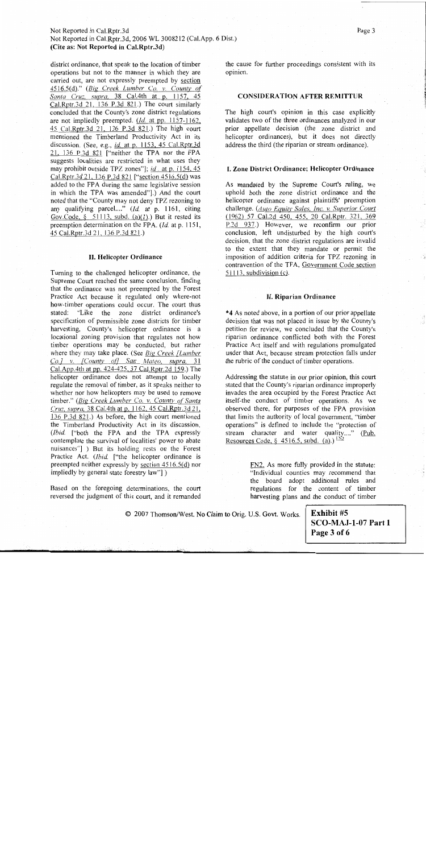### Not Reported in Cal.Rptr.3d Not Reported in Cal.Rptr.3d, 2006 WL 3008212 (Cal.App. 6 Dist.) (Cite as: Not Reported in Cal.Rptr.3d)

district ordinance, that speak to the location of timber operations but not to the manner in which they are carried out, are not expressly preempted by section 4516.5(d)." (Big Creek Lumber Co. v. County of Santa Cruz, supra, 38 Cal.4th at p. 1157, 45 Cal.Rptr.3d 21, 136 P.3d 821.) The court similarly concluded that the County's zone district regulations are not impliedly preempted. (*Id.* at pp. 1157-1162, 45 Cal.Rptr.3d 21, 136 P.3d 821.) The high court mentioned the Timberland Productivity Act in its discussion. (See, e.g., id. at p. 1153, 45 Cal.Rptr.3d 21, 136 P.3d 821 ["neither the TPA nor the FPA suggests localities are restricted in what uses they may prohibit outside TPZ zones"]; id. at p. 1154, 45 Cal.Rptr.3d 21, 136 P.3d 821 ["section 4516.5(d) was added to the FPA during the same legislative session in which the TPA was amended"].) And the court noted that the "County may not deny TPZ rezoning to any qualifying parcel...." (Id. at p. 1161, citing Gov.Code, § 51113, subd.  $(a)(1)$ .) But it rested its preemption determination on the FPA. (Id. at p. 1151, 45 Cal.Rptr.3d 21, 136 P.3d 821.)

### II. Helicopter Ordinance

Turning to the challenged helicopter ordinance, the Supreme Court reached the same conclusion, finding that the ordinance was not preempted by the Forest Practice Act because it regulated only where-not how-timber operations could occur. The court thus "Like the zone district ordinance's stated: specification of permissible zone districts for timber harvesting, County's helicopter ordinance is a locational zoning provision that regulates not how timber operations may be conducted, but rather where they may take place. (See Big Creek [Lumber Co.] v. [County of] San Mateo, supra, 31 Cal.App.4th at pp. 424-425, 37 Cal.Rptr.2d 159.) The helicopter ordinance does not attempt to locally regulate the removal of timber, as it speaks neither to whether nor how helicopters may be used to remove timber." (Big Creek Lumber Co. v. County of Santa Cruz, supra, 38 Cal.4th at p. 1162, 45 Cal.Rptr.3d 21, 136 P.3d 821.) As before, the high court mentioned the Timberland Productivity Act in its discussion. (*Ibid.* I"both the FPA and the TPA expressly contemplate the survival of localities' power to abate nuisances"] ) But its holding rests on the Forest Practice Act. (Ibid. ["the helicopter ordinance is preempted neither expressly by section 4516.5(d) nor impliedly by general state forestry law"])

Based on the foregoing determinations, the court reversed the judgment of this court, and it remanded

the cause for further proceedings consistent with its opinion.

### **CONSIDERATION AFTER REMITTUR**

The high court's opinion in this case explicitly validates two of the three ordinances analyzed in our prior appellate decision (the zone district and helicopter ordinances), but it does not directly address the third (the riparian or stream ordinance).

### I. Zone District Ordinance; Helicopter Ordinance

As mandated by the Supreme Court's ruling, we uphold both the zone district ordinance and the helicopter ordinance against plaintiffs' preemption challenge. (Auto Equity Sales, Inc. v. Superior Court (1962) 57 Cal.2d 450, 455, 20 Cal.Rptr. 321, 369 P.2d 937.) However, we reconfirm our prior conclusion, left undisturbed by the high court's decision, that the zone district regulations are invalid to the extent that they mandate or permit the imposition of addition criteria for TPZ rezoning in contravention of the TPA, Government Code section  $51113$ , subdivision (c).

### **II. Riparian Ordinance**

\*4 As noted above, in a portion of our prior appellate decision that was not placed in issue by the County's petition for review, we concluded that the County's riparian ordinance conflicted both with the Forest Practice Act itself and with regulations promulgated under that Act, because stream protection falls under the rubric of the conduct of timber operations.

Addressing the statute in our prior opinion, this court stated that the County's riparian ordinance improperly invades the area occupied by the Forest Practice Act itself-the conduct of timber operations. As we observed there, for purposes of the FPA provision that limits the authority of local government, "timber operations" is defined to include the "protection of stream character and water quality...." (Pub. Resources Code, § 4516.5, subd. (a).)  $EN2$ 

> FN2. As more fully provided in the statute: "Individual counties may recommend that the board adopt additional rules and regulations for the content of timber harvesting plans and the conduct of timber

2007 Thomson/West. No Claim to Orig. U.S. Govt. Works.

Exhibit #5 SCO-MAJ-1-07 Part 1 Page 3 of 6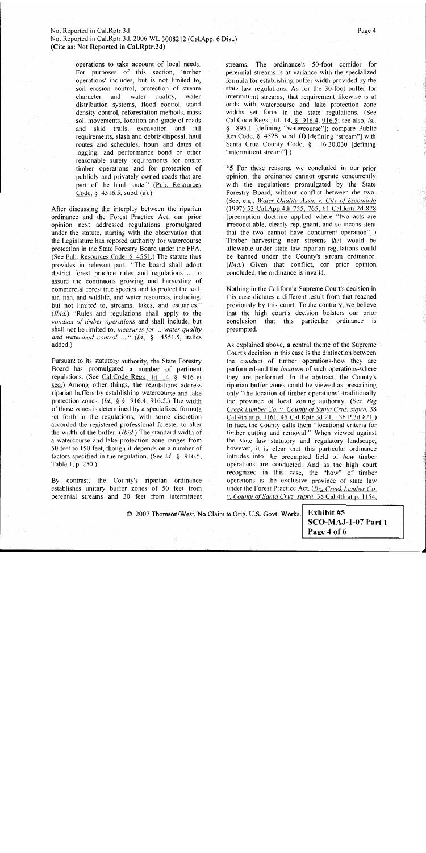Not Reported in Cal.Rptr.3d, 2006 WL 3008212 (Cal.App. 6 Dist.) (Cite as: Not Reported in Cal.Rptr.3d)

> operations to take account of local needs. For purposes of this section, 'timber operations' includes, but is not limited to, soil erosion control, protection of stream water quality, character and water distribution systems, flood control, stand density control, reforestation methods, mass soil movements, location and grade of roads and skid trails, excavation and fill requirements, slash and debris disposal, haul routes and schedules, hours and dates of logging, and performance bond or other reasonable surety requirements for onsite timber operations and for protection of publicly and privately owned roads that are part of the haul route." (Pub. Resources Code,  $\frac{5}{3}$  4516.5, subd. (a).)

After discussing the interplay between the riparian ordinance and the Forest Practice Act, our prior opinion next addressed regulations promulgated under the statute, starting with the observation that the Legislature has reposed authority for watercourse protection in the State Forestry Board under the FPA. (See Pub. Resources Code, § 4551.) The statute thus provides in relevant part: "The board shall adopt district forest practice rules and regulations ... to assure the continuous growing and harvesting of commercial forest tree species and to protect the soil, air, fish, and wildlife, and water resources, including, but not limited to, streams, lakes, and estuaries." (Ibid.) "Rules and regulations shall apply to the conduct of timber operations and shall include, but shall not be limited to, measures for ... water quality and watershed control ...." (Id.,  $\delta$  4551.5, italics added.)

Pursuant to its statutory authority, the State Forestry Board has promulgated a number of pertinent regulations. (See Cal.Code Regs., tit. 14, § 916 et seq.) Among other things, the regulations address riparian buffers by establishing watercourse and lake protection zones.  $(Id, \S \S 916.4, 916.5)$  The width of those zones is determined by a specialized formula set forth in the regulations, with some discretion accorded the registered professional forester to alter the width of the buffer. (*Ibid.*) The standard width of a watercourse and lake protection zone ranges from 50 feet to 150 feet, though it depends on a number of factors specified in the regulation. (See id.,  $\S$  916.5, Table 1, p. 250.)

By contrast, the County's riparian ordinance establishes unitary buffer zones of 50 feet from perennial streams and 30 feet from intermittent streams. The ordinance's 50-foot corridor for perennial streams is at variance with the specialized formula for establishing buffer width provided by the state law regulations. As for the 30-foot buffer for intermittent streams, that requirement likewise is at odds with watercourse and lake protection zone widths set forth in the state regulations. (See Cal.Code Regs., tit. 14, § 916.4, 916.5; see also, id., § 895.1 [defining "watercourse"]; compare Public Res.Code, § 4528, subd. (f) [defining "stream"] with Santa Cruz County Code, § 16.30.030 [defining "intermittent stream"].)

\*5 For these reasons, we concluded in our prior opinion, the ordinance cannot operate concurrently with the regulations promulgated by the State Forestry Board, without conflict between the two. (See, e.g., Water Ouality Assn. v. City of Escondido (1997) 53 Cal.App.4th 755, 765, 61 Cal.Rptr.2d 878 [preemption doctrine applied where "two acts are irreconcilable, clearly repugnant, and so inconsistent that the two cannot have concurrent operation".) Timber harvesting near streams that would be allowable under state law riparian regulations could be banned under the County's stream ordinance. (Ibid.) Given that conflict, our prior opinion concluded, the ordinance is invalid.

Nothing in the California Supreme Court's decision in this case dictates a different result from that reached previously by this court. To the contrary, we believe that the high court's decision bolsters our prior conclusion that this particular ordinance is preempted.

As explained above, a central theme of the Supreme Court's decision in this case is the distinction between the *conduct* of timber operations-how they are performed-and the *location* of such operations-where they are performed. In the abstract, the County's riparian buffer zones could be viewed as prescribing only "the location of timber operations"-traditionally the province of local zoning authority. (See Big Creek Lumber Co. v. County of Santa Cruz, supra, 38 Cal.4th at p. 1161, 45 Cal.Rptr.3d 21, 136 P.3d 821.) In fact, the County calls them "locational criteria for timber cutting and removal." When viewed against the state law statutory and regulatory landscape, however, it is clear that this particular ordinance intrudes into the preempted field of how timber operations are conducted. And as the high court recognized in this case, the "how" of timber operations is the exclusive province of state law under the Forest Practice Act. (Big Creek Lumber Co. v. County of Santa Cruz, supra, 38 Cal.4th at p. 1154,

© 2007 Thomson/West. No Claim to Orig. U.S. Govt. Works.

Exhibit #5 SCO-MAJ-1-07 Part 1 Page 4 of 6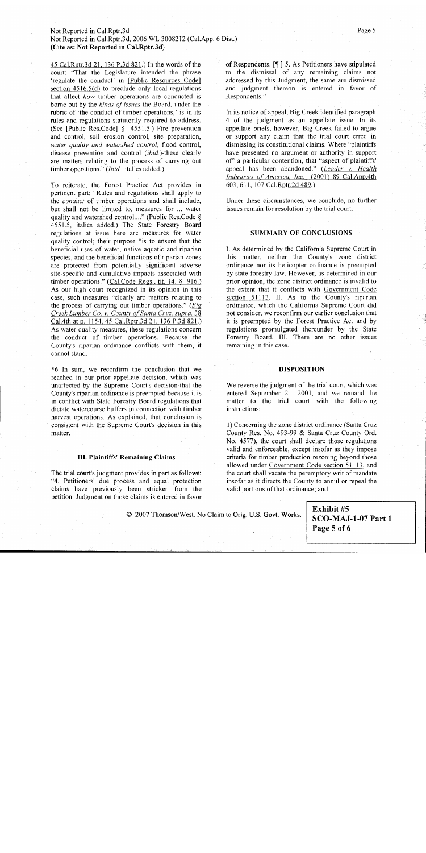### Not Reported in Cal.Rptr.3d

Not Reported in Cal.Rptr.3d, 2006 WL 3008212 (Cal.App. 6 Dist.) (Cite as: Not Reported in Cal.Rptr.3d)

45 Cal.Rptr.3d 21, 136 P.3d 821.) In the words of the court: "That the Legislature intended the phrase 'regulate the conduct' in [Public Resources Code] section  $4516.5(d)$  to preclude only local regulations that affect how timber operations are conducted is borne out by the kinds of issues the Board, under the rubric of 'the conduct of timber operations,' is in its rules and regulations statutorily required to address. (See [Public Res.Code] § 4551.5.) Fire prevention and control, soil erosion control, site preparation, water quality and watershed control, flood control, disease prevention and control *(ibid.)*-these clearly are matters relating to the process of carrying out timber operations." (Ibid., italics added.)

To reiterate, the Forest Practice Act provides in pertinent part: "Rules and regulations shall apply to the *conduct* of timber operations and shall include, but shall not be limited to, measures for ... water quality and watershed control...." (Public Res.Code § 4551.5, italics added.) The State Forestry Board regulations at issue here are measures for water quality control; their purpose "is to ensure that the beneficial uses of water, native aquatic and riparian species, and the beneficial functions of riparian zones are protected from potentially significant adverse site-specific and cumulative impacts associated with timber operations." (Cal.Code Regs., tit. 14,  $\S$  916.) As our high court recognized in its opinion in this case, such measures "clearly are matters relating to the process of carrying out timber operations." ( $Big$ Creek Lumber Co. v. County of Santa Cruz, supra, 38 Cal.4th at p. 1154, 45 Cal.Rptr.3d 21, 136 P.3d 821.) As water quality measures, these regulations concern the conduct of timber operations. Because the County's riparian ordinance conflicts with them, it cannot stand.

\*6 In sum, we reconfirm the conclusion that we reached in our prior appellate decision, which was unaffected by the Supreme Court's decision-that the County's riparian ordinance is preempted because it is in conflict with State Forestry Board regulations that dictate watercourse buffers in connection with timber harvest operations. As explained, that conclusion is consistent with the Supreme Court's decision in this matter.

### **III. Plaintiffs' Remaining Claims**

The trial court's judgment provides in part as follows: "4. Petitioners' due process and equal protection claims have previously been stricken from the petition. Judgment on those claims is entered in favor

of Respondents. [¶] 5. As Petitioners have stipulated to the dismissal of any remaining claims not addressed by this Judgment, the same are dismissed and judgment thereon is entered in favor of Respondents."

In its notice of appeal, Big Creek identified paragraph 4 of the judgment as an appellate issue. In its appellate briefs, however, Big Creek failed to argue or support any claim that the trial court erred in dismissing its constitutional claims. Where "plaintiffs have presented no argument or authority in support of" a particular contention, that "aspect of plaintiffs" appeal has been abandoned." (Leader v. Health Industries of America, Inc. (2001) 89 Cal.App.4th 603, 611, 107 Cal.Rptr.2d 489.)

Under these circumstances, we conclude, no further issues remain for resolution by the trial court.

### **SUMMARY OF CONCLUSIONS**

I. As determined by the California Supreme Court in this matter, neither the County's zone district ordinance nor its helicopter ordinance is preempted by state forestry law. However, as determined in our prior opinion, the zone district ordinance is invalid to the extent that it conflicts with Government Code section 51113. II. As to the County's riparian ordinance, which the California Supreme Court did not consider, we reconfirm our earlier conclusion that it is preempted by the Forest Practice Act and by regulations promulgated thereunder by the State Forestry Board. III. There are no other issues remaining in this case.

### **DISPOSITION**

We reverse the judgment of the trial court, which was entered September 21, 2001, and we remand the matter to the trial court with the following instructions:

1) Concerning the zone district ordinance (Santa Cruz County Res. No. 493-99 & Santa Cruz County Ord. No. 4577), the court shall declare those regulations valid and enforceable, except insofar as they impose criteria for timber production rezoning beyond those allowed under Government Code section 51113, and the court shall vacate the peremptory writ of mandate insofar as it directs the County to annul or repeal the valid portions of that ordinance; and

© 2007 Thomson/West. No Claim to Orig. U.S. Govt. Works.

Exhibit #5 SCO-MAJ-1-07 Part 1 Page 5 of 6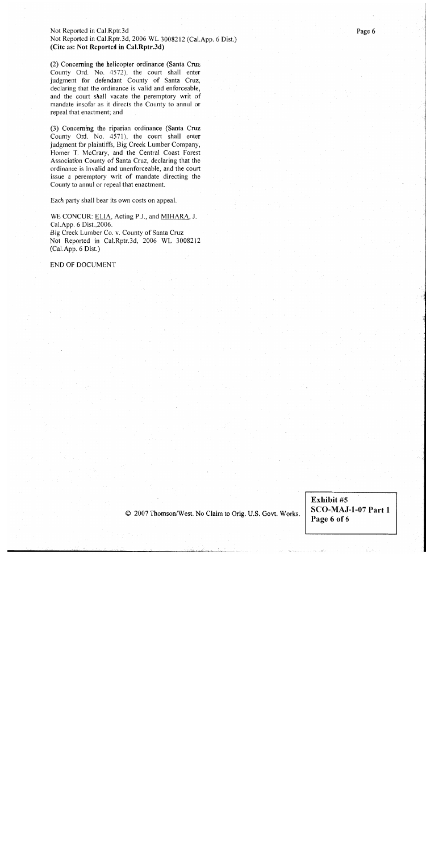Not Reported in Cal.Rptr.3d

Not Reported in Cal.Rptr.3d, 2006 WL 3008212 (Cal.App. 6 Dist.) (Cite as: Not Reported in Cal.Rptr.3d)

(2) Concerning the helicopter ordinance (Santa Cruz County Ord. No. 4572), the court shall enter judgment for defendant County of Santa Cruz, declaring that the ordinance is valid and enforceable, and the court shall vacate the peremptory writ of mandate insofar as it directs the County to annul or repeal that enactment; and

(3) Concerning the riparian ordinance (Santa Cruz County Ord. No. 4571), the court shall enter judgment for plaintiffs, Big Creek Lumber Company, Homer T. McCrary, and the Central Coast Forest Association County of Santa Cruz, declaring that the ordinance is invalid and unenforceable, and the court issue a peremptory writ of mandate directing the County to annul or repeal that enactment.

Each party shall bear its own costs on appeal.

WE CONCUR: ELIA, Acting P.J., and MIHARA, J. Cal.App. 6 Dist., 2006. Big Creek Lumber Co. v. County of Santa Cruz Not Reported in Cal.Rptr.3d, 2006 WL 3008212 (Cal.App. 6 Dist.)

END OF DOCUMENT

© 2007 Thomson/West. No Claim to Orig. U.S. Govt. Works.

Exhibit #5 SCO-MAJ-1-07 Part 1 Page 6 of 6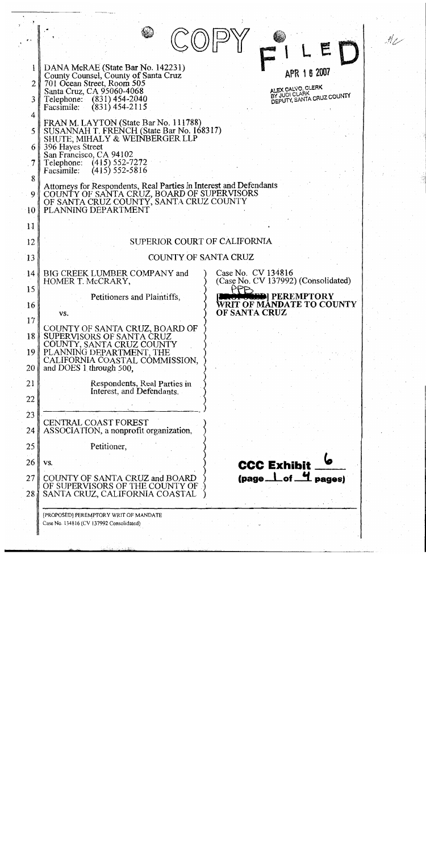|                                              |                                                                                                                                                                                                                                                                                        | مىركىم كول |
|----------------------------------------------|----------------------------------------------------------------------------------------------------------------------------------------------------------------------------------------------------------------------------------------------------------------------------------------|------------|
| 2 <sub>1</sub><br>3                          | DANA McRAE (State Bar No. 142231)<br>APR 1 8 2007<br>County Counsel, County of Santa Cruz<br>701 Ocean Street, Room 505<br>ALEX CALVO, CLERK<br>Santa Cruz, CA 95060-4068<br>BY JUDI CLARK<br>DEPUTY, SANTA CRUZ COUNTY<br>Telephone: (831) 454-2040<br>$(831)$ 454-2115<br>Facsimile: |            |
| $\overline{4}$<br>5<br>6 I<br>7 <sup>1</sup> | FRAN M. LAYTON (State Bar No. 111788)<br>SUSANNAH T. FRENCH (State Bar No. 168317)<br>SHUTE, MIHALY & WEINBERGER LLP<br>396 Hayes Street<br>San Francisco, CA 94102<br>Telephone: (415) 552-7272<br>$(415)$ 552-5816<br>Facsimile:                                                     |            |
| 8<br>9<br>10                                 | Attorneys for Respondents, Real Parties in Interest and Defendants<br>COUNTY OF SANTA CRUZ, BOARD OF SUPERVISORS<br>OF SANTA CRUZ COUNTY, SANTA CRUZ COUNTY<br>PLANNING DEPARTMENT                                                                                                     |            |
| 11                                           |                                                                                                                                                                                                                                                                                        |            |
| 12                                           | SUPERIOR COURT OF CALIFORNIA                                                                                                                                                                                                                                                           |            |
| $\overline{13}$                              | COUNTY OF SANTA CRUZ                                                                                                                                                                                                                                                                   |            |
| 14                                           | Case No. CV 134816<br>BIG CREEK LUMBER COMPANY and<br>(Case No. CV 137992) (Consolidated)<br>HOMER T. McCRARY,                                                                                                                                                                         |            |
| 15<br>16                                     | <b>I PEREMPTORY</b><br>Petitioners and Plaintiffs,<br>WRIT OF MANDATE TO COUNTY<br>OF SANTA CRUZ<br>VS.                                                                                                                                                                                |            |
| 17<br>18<br>19                               | COUNTY OF SANTA CRUZ, BOARD OF<br>SUPERVISORS OF SANTA CRUZ<br>COUNTY, SANTA CRUZ COUNTY<br>PLANNING DEPARTMENT, THE                                                                                                                                                                   |            |
| 20                                           | CALIFORNIA COASTAL COMMISSION,<br>and DOES 1 through 500,                                                                                                                                                                                                                              |            |
| 21<br>22                                     | Respondents, Real Parties in<br>Interest, and Defendants.                                                                                                                                                                                                                              |            |
| 23                                           |                                                                                                                                                                                                                                                                                        |            |
| 24                                           | CENTRAL COAST FOREST<br>ASSOCIATION, a nonprofit organization,                                                                                                                                                                                                                         |            |
| 25                                           | Petitioner,                                                                                                                                                                                                                                                                            |            |
| 26                                           | VS.<br><b>CCC Exhibit</b>                                                                                                                                                                                                                                                              |            |
| 27<br>28                                     | $(page_l of_l 4 pages)$<br>COUNTY OF SANTA CRUZ and BOARD<br>OF SUPERVISORS OF THE COUNTY OF<br>SANTA CRUZ, CALIFORNIA COASTAL                                                                                                                                                         |            |
|                                              | [PROPOSED] PEREMPTORY WRIT OF MANDATE<br>Case No. 134816 (CV 137992 Consolidated)                                                                                                                                                                                                      |            |

 $\bar{a}$ 

 $\hat{\mathcal{F}}$ 

 $\frac{1}{2}$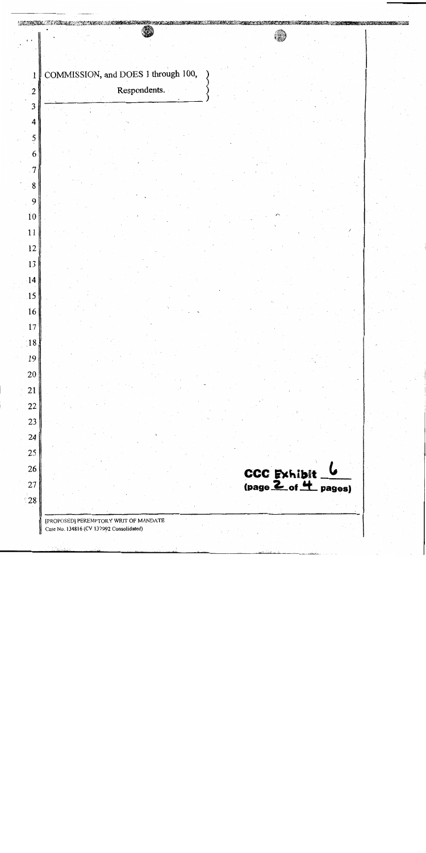**STATISTICS** IN THE CONTRACT OF THE CONTRACT OF THE CONTRACT OF THE CONTRACT OF THE CONTRACT OF THE CONTRACT OF  $\epsilon_{\mu}$ COMMISSION, and DOES 1 through 100,  $\pmb{\downarrow}$ Respondents.  $\overline{2}$  $\mathfrak{Z}$  $\overline{7}$ CCC Exhibit  $\frac{6}{2}$  (page 2 of 4 pages) [PROPOSED] PEREMPTORY WRIT OF MANDATE Case No. 134816 (CV 137992 Consolidated)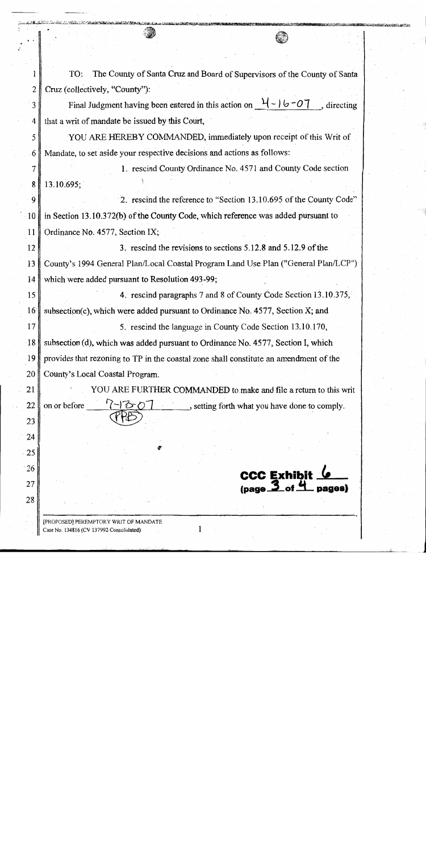|                 | TO: The County of Santa Cruz and Board of Supervisors of the County of Santa              |
|-----------------|-------------------------------------------------------------------------------------------|
|                 | Cruz (collectively, "County"):                                                            |
|                 | Final Judgment having been entered in this action on $\frac{11 - 16 - 07}{1}$ , directing |
|                 | that a writ of mandate be issued by this Court,                                           |
|                 | YOU ARE HEREBY COMMANDED, immediately upon receipt of this Writ of                        |
|                 | Mandate, to set aside your respective decisions and actions as follows:                   |
|                 | 1. rescind County Ordinance No. 4571 and County Code section                              |
|                 | 13.10.695;                                                                                |
|                 | 2. rescind the reference to "Section 13.10.695 of the County Code"                        |
|                 | in Section 13.10.372(b) of the County Code, which reference was added pursuant to         |
|                 | Ordinance No. 4577, Section IX;                                                           |
|                 | 3. rescind the revisions to sections 5.12.8 and 5.12.9 of the                             |
|                 | County's 1994 General Plan/Local Coastal Program Land Use Plan ("General Plan/LCP")       |
|                 | which were added pursuant to Resolution 493-99;                                           |
|                 | 4. rescind paragraphs 7 and 8 of County Code Section 13.10.375,                           |
| 16 <sup>°</sup> | subsection(c), which were added pursuant to Ordinance No. 4577, Section X; and            |
|                 | 5. rescind the language in County Code Section 13.10.170,                                 |
| 18              | subsection (d), which was added pursuant to Ordinance No. 4577, Section I, which          |
|                 | provides that rezoning to TP in the coastal zone shall constitute an amendment of the     |
|                 | County's Local Coastal Program.                                                           |
|                 | YOU ARE FURTHER COMMANDED to make and file a return to this writ                          |
|                 | on or before<br>ろの<br>, setting forth what you have done to comply.                       |
|                 |                                                                                           |
|                 |                                                                                           |
|                 |                                                                                           |
|                 | <b>CCC Exhibit</b>                                                                        |
|                 | (page 3 of 4 pages)                                                                       |
|                 |                                                                                           |

<u>endski konde (de 19</u>

handhaladi. San kita san Unitar Martin

فتنتشف

noitio

Ð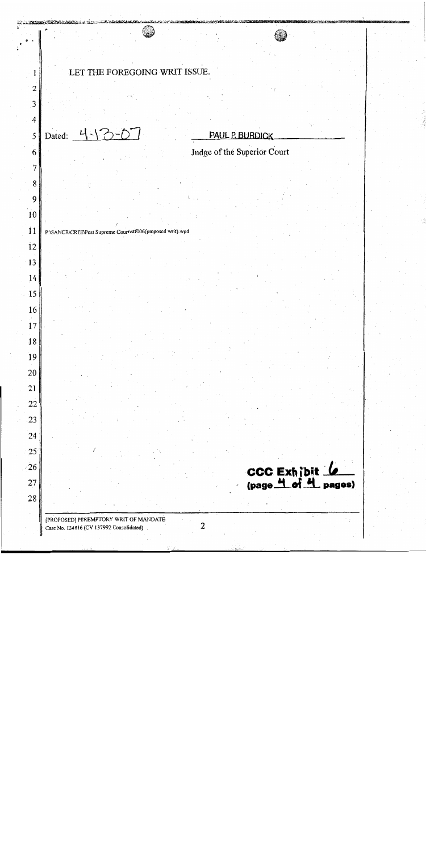| LET THE FOREGOING WRIT ISSUE.                             |                                             |
|-----------------------------------------------------------|---------------------------------------------|
|                                                           |                                             |
|                                                           |                                             |
|                                                           |                                             |
|                                                           |                                             |
| Dated: 4-13-07                                            | <b>PAUL P. BURDICK</b>                      |
|                                                           | Judge of the Superior Court                 |
|                                                           |                                             |
|                                                           |                                             |
|                                                           |                                             |
|                                                           |                                             |
|                                                           |                                             |
| PASANCRICREENPost Supreme Court\stf006(proposed writ).wpd |                                             |
|                                                           |                                             |
|                                                           |                                             |
|                                                           |                                             |
|                                                           |                                             |
|                                                           |                                             |
|                                                           |                                             |
|                                                           |                                             |
|                                                           |                                             |
|                                                           |                                             |
|                                                           |                                             |
|                                                           |                                             |
|                                                           |                                             |
|                                                           |                                             |
|                                                           |                                             |
|                                                           |                                             |
|                                                           |                                             |
|                                                           | CCC Exhibit <u>6</u><br>(page 4 of 4 pages) |
|                                                           |                                             |
|                                                           |                                             |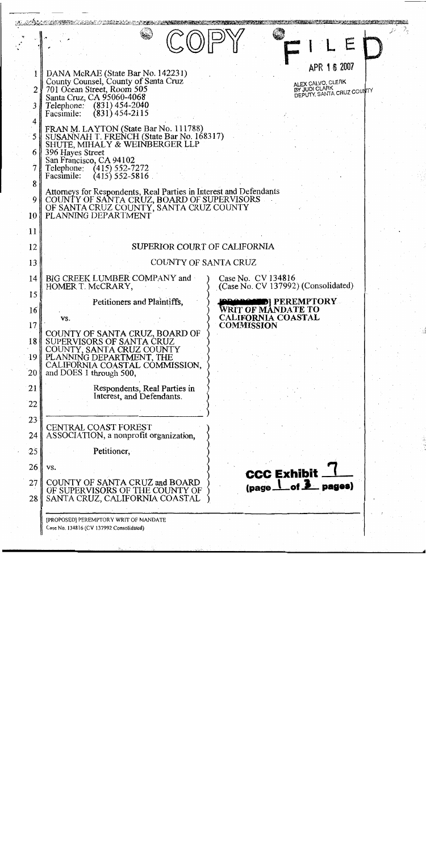| $\mathbf{1}$<br>3<br>4<br>5  <br>6 I<br>8<br>9 | DANA McRAE (State Bar No. 142231)<br>County Counsel, County of Santa Cruz<br>701 Ocean Street, Room 505<br>Santa Cruz, CA 95060-4068<br>Telephone: (831) 454-2040<br>$(831)$ 454-2115<br>Facsimile:<br>FRAN M. LAYTON (State Bar No. 111788)<br>SUSANNAH T. FRENCH (State Bar No. 168317)<br>SHUTE, MIHALY & WEINBERGER LLP<br>396 Hayes Street<br>San Francisco, CA 94102<br>Telephone: (415) 552-7272<br>Facsimile:<br>$(415)$ 552-5816<br>Attorneys for Respondents, Real Parties in Interest and Defendants<br>COUNTY OF SANTA CRUZ, BOARD OF SUPERVISORS<br>OF SANTA CRUZ COUNTY, SANTA CRUZ COUNTY | APR 16 2007<br>ALEX CALVO, CLERK<br>BY JUDI CLARK<br>DEPUTY, SANTA CRUZ COUNTY |
|------------------------------------------------|----------------------------------------------------------------------------------------------------------------------------------------------------------------------------------------------------------------------------------------------------------------------------------------------------------------------------------------------------------------------------------------------------------------------------------------------------------------------------------------------------------------------------------------------------------------------------------------------------------|--------------------------------------------------------------------------------|
| 10 <sup>1</sup>                                | PLANNING DEPARTMENT                                                                                                                                                                                                                                                                                                                                                                                                                                                                                                                                                                                      |                                                                                |
| 11                                             |                                                                                                                                                                                                                                                                                                                                                                                                                                                                                                                                                                                                          |                                                                                |
| 12                                             | SUPERIOR COURT OF CALIFORNIA                                                                                                                                                                                                                                                                                                                                                                                                                                                                                                                                                                             |                                                                                |
| 13.                                            | COUNTY OF SANTA CRUZ                                                                                                                                                                                                                                                                                                                                                                                                                                                                                                                                                                                     |                                                                                |
| 14                                             | BIG CREEK LUMBER COMPANY and<br>HOMER T. McCRARY,                                                                                                                                                                                                                                                                                                                                                                                                                                                                                                                                                        | Case No. CV 134816<br>(Case No. CV 137992) (Consolidated)                      |
| 15<br>16                                       | Petitioners and Plaintiffs,<br>VS.                                                                                                                                                                                                                                                                                                                                                                                                                                                                                                                                                                       | <b>DI PEREMPTORY</b><br>WRIT OF MÁNDATE TO<br><b>CALIFORNIA COASTAL</b>        |
| 17 <sup>1</sup><br>18<br>-19  <br>20           | COUNTY OF SANTA CRUZ, BOARD OF<br>SUPERVISORS OF SANTA CRUZ<br>COUNTY, SANTA CRUZ COUNTY<br>PLANNING DEPARTMENT, THE<br>CALIFORNIA COASTAL CÓMMISSION.<br>and DOES 1 through 500,                                                                                                                                                                                                                                                                                                                                                                                                                        | COMMISSION                                                                     |
| 21                                             | Respondents, Real Parties in                                                                                                                                                                                                                                                                                                                                                                                                                                                                                                                                                                             |                                                                                |
| 22                                             | Interest, and Defendants.                                                                                                                                                                                                                                                                                                                                                                                                                                                                                                                                                                                |                                                                                |
| 23                                             |                                                                                                                                                                                                                                                                                                                                                                                                                                                                                                                                                                                                          |                                                                                |
| 24                                             | CENTRAL COAST FOREST<br>ASSOCIATION, a nonprofit organization,                                                                                                                                                                                                                                                                                                                                                                                                                                                                                                                                           |                                                                                |
| 25                                             | Petitioner,                                                                                                                                                                                                                                                                                                                                                                                                                                                                                                                                                                                              |                                                                                |
| 26                                             | VS.                                                                                                                                                                                                                                                                                                                                                                                                                                                                                                                                                                                                      |                                                                                |
| 27                                             | COUNTY OF SANTA CRUZ and BOARD                                                                                                                                                                                                                                                                                                                                                                                                                                                                                                                                                                           | <b>CCC Exhibit</b><br>of $\lambda$ pages)<br>$(page_l)$                        |
| 28                                             | OF SUPERVISORS OF THE COUNTY OF<br>SANTA CRUZ, CALIFORNIA COASTAL                                                                                                                                                                                                                                                                                                                                                                                                                                                                                                                                        |                                                                                |
|                                                | [PROPOSED] PEREMPTORY WRIT OF MANDATE<br>Case No. 134816 (CV 137992 Consolidated)                                                                                                                                                                                                                                                                                                                                                                                                                                                                                                                        |                                                                                |

j.

 $\overline{\phantom{a}}$ 

Ċ,  $\mathcal{C}$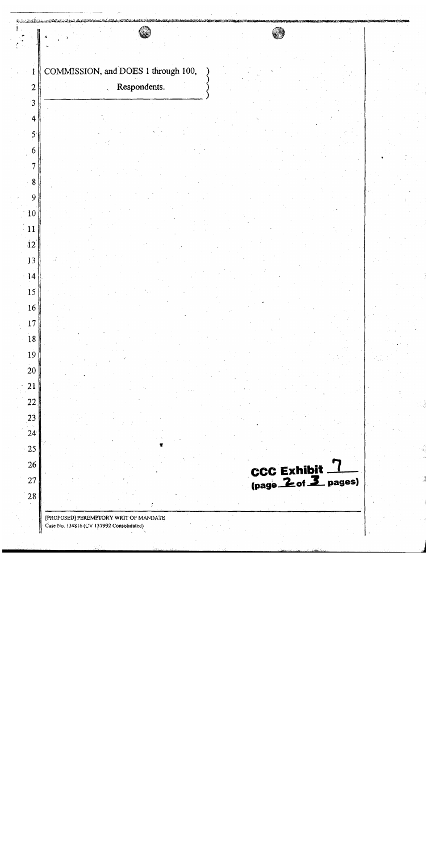0 Ĵ, COMMISSION, and DOES 1 through 100,  $\mathbf{1}$ Respondents.  $\overline{2}$  $\overline{3}$  $\ddot{\mathbf{4}}$  $5^{\circ}$ 6  $\overline{7}$  $\boldsymbol{8}$ 9  $10$  $11$  $12<sup>1</sup>$ 13 14  $\overline{15}$ 16  $17$ 18 19  $\overline{20}$ 21  $22$ 23 24  $\cdot$  25 CCC Exhibit 7<br>(page 2 of 3 pages) 26 27 28 [PROPOSED] PEREMPTORY WRIT OF MANDATE Case No. 134816 (CV 137992 Consolidated)